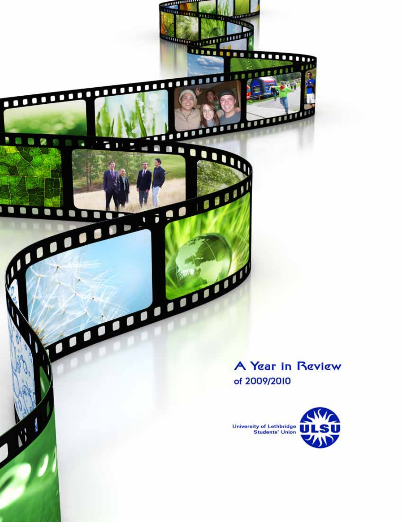A Year in Review of 2009/2010

*<u><u>minimum</u>*</u>

<u>man man man man m</u>

п ٠

 $\mathbf 0$ 

poor

 $111$ 

91107

п  $0<sup>1</sup>$ 

> n O O

q n

RU

õ ٠

maning

3157

**Continues of the Continues of the Continues** .....

....

18880

m

mm

٠ ×

 $121$ 

........

 $e \cdot t$ 

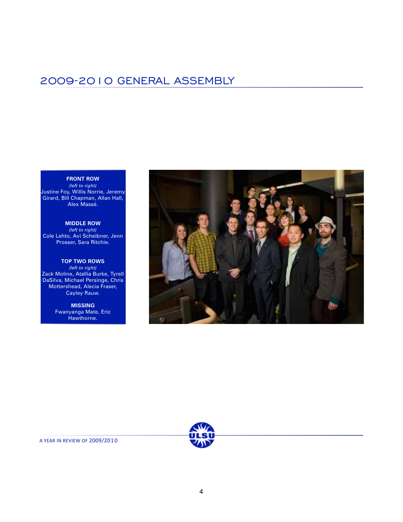### 2009-2010 GENERAL ASSEMBLY

#### **FRONT ROW**

*(left to right)* Justine Foy, Willis Norrie, Jeremy Girard, Bill Chapman, Allan Hall, Alex Massé.

**MIDDLE ROW** *(left to right)* Cole Lehto, Avi Scheibner, Jenn Prosser, Sara Ritchie.

#### **TOP TWO ROWS**

*(left to right)* Zack Moline, Atallia Burke, Tyrell DaSilva, Michael Persinge, Chris Mottershead, Alecia Fraser, Cayley Rauw.

> **MISSING** Fwanyanga Mate, Eric Hawthorne.



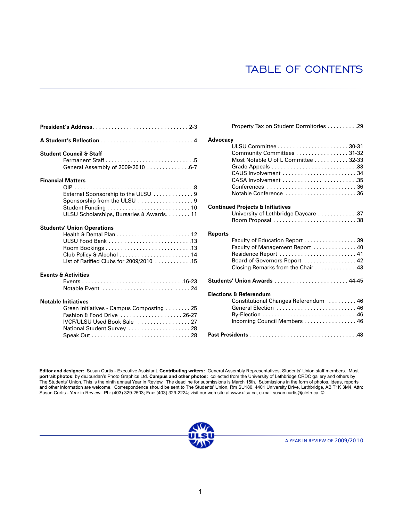## TABLE OF CONTENTS

|                                                                                                                                                                       | Advoca                            |
|-----------------------------------------------------------------------------------------------------------------------------------------------------------------------|-----------------------------------|
| <b>Student Council &amp; Staff</b>                                                                                                                                    |                                   |
| <b>Financial Matters</b><br>External Sponsorship to the ULSU  9<br>Sponsorship from the ULSU 9<br>ULSU Scholarships, Bursaries & Awards11                             | Continu                           |
| <b>Students' Union Operations</b><br>ULSU Food Bank 13<br>List of Ratified Clubs for 2009/2010 15                                                                     | <b>Reports</b>                    |
| <b>Events &amp; Activities</b>                                                                                                                                        | <b>Student</b><br><b>Election</b> |
| <b>Notable Initiatives</b><br>Green Initiatives - Campus Composting  25<br>Fashion & Food Drive  26-27<br>IVCF/ULSU Used Book Sale  27<br>National Student Survey  28 | Past Pro                          |

|                | Property Tax on Student Dormitories 29      |
|----------------|---------------------------------------------|
| Advocacy       |                                             |
|                |                                             |
|                | Community Committees 31-32                  |
|                | Most Notable U of L Committee 32-33         |
|                | Grade Appeals 33                            |
|                |                                             |
|                |                                             |
|                | Conferences 36                              |
|                | Notable Conference 36                       |
|                |                                             |
|                | <b>Continued Projects &amp; Initiatives</b> |
|                | University of Lethbridge Daycare 37         |
|                |                                             |
|                |                                             |
| <b>Reports</b> |                                             |
|                | Faculty of Education Report 39              |
|                | Faculty of Management Report  40            |
|                | Residence Report  41                        |
|                | Board of Governors Report  42               |
|                | Closing Remarks from the Chair 43           |
|                | Students' Union Awards  44-45               |
|                | <b>Elections &amp; Referendum</b>           |
|                | Constitutional Changes Referendum 46        |
|                | General Election  46                        |
|                |                                             |
|                | Incoming Council Members 46                 |
|                |                                             |
|                |                                             |

**Editor and designer:** Susan Curtis - Executive Assistant. **Contributing writers:** General Assembly Representatives, Students' Union staff members. Most **portrait photos:** by deJourdan's Photo Graphics Ltd. **Campus and other photos:** collected from the University of Lethbridge CRDC gallery and others by The Students' Union. This is the ninth annual Year in Review. The deadline for submissions is March 15th. Submissions in the form of photos, ideas, reports and other information are welcome. Correspondence should be sent to The Students' Union, Rm SU180, 4401 University Drive, Lethbridge, AB T1K 3M4, Attn: Susan Curtis - Year in Review. Ph: (403) 329-2503; Fax: (403) 329-2224; visit our web site at www.ulsu.ca, e-mail susan.curtis@uleth.ca. ©

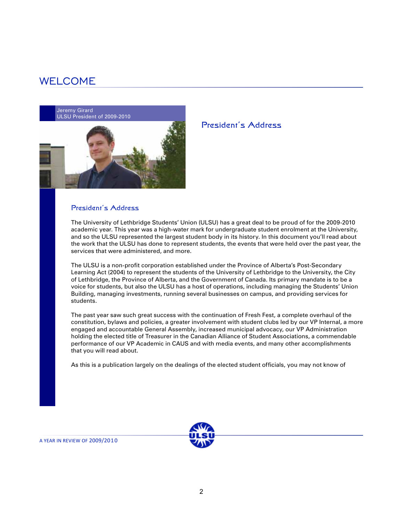### WELCOME

Jeremy Girard ULSU President of 2009-2010



#### President's Address

The University of Lethbridge Students' Union (ULSU) has a great deal to be proud of for the 2009-2010 academic year. This year was a high-water mark for undergraduate student enrolment at the University, and so the ULSU represented the largest student body in its history. In this document you'll read about the work that the ULSU has done to represent students, the events that were held over the past year, the services that were administered, and more.

President's Address

The ULSU is a non-profit corporation established under the Province of Alberta's Post-Secondary Learning Act (2004) to represent the students of the University of Lethbridge to the University, the City of Lethbridge, the Province of Alberta, and the Government of Canada. Its primary mandate is to be a voice for students, but also the ULSU has a host of operations, including managing the Students' Union Building, managing investments, running several businesses on campus, and providing services for students.

The past year saw such great success with the continuation of Fresh Fest, a complete overhaul of the constitution, bylaws and policies, a greater involvement with student clubs led by our VP Internal, a more engaged and accountable General Assembly, increased municipal advocacy, our VP Administration holding the elected title of Treasurer in the Canadian Alliance of Student Associations, a commendable performance of our VP Academic in CAUS and with media events, and many other accomplishments that you will read about.

As this is a publication largely on the dealings of the elected student officials, you may not know of



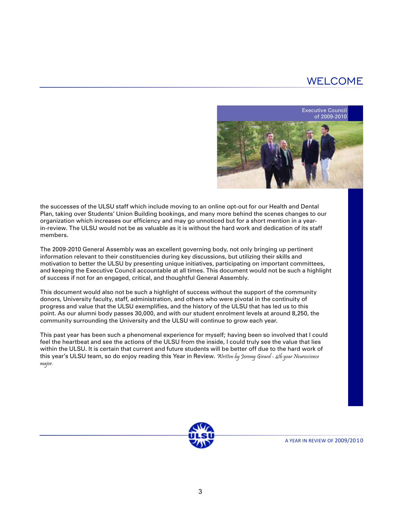## WELCOME



the successes of the ULSU staff which include moving to an online opt-out for our Health and Dental Plan, taking over Students' Union Building bookings, and many more behind the scenes changes to our organization which increases our efficiency and may go unnoticed but for a short mention in a yearin-review. The ULSU would not be as valuable as it is without the hard work and dedication of its staff members.

The 2009-2010 General Assembly was an excellent governing body, not only bringing up pertinent information relevant to their constituencies during key discussions, but utilizing their skills and motivation to better the ULSU by presenting unique initiatives, participating on important committees, and keeping the Executive Council accountable at all times. This document would not be such a highlight of success if not for an engaged, critical, and thoughtful General Assembly.

This document would also not be such a highlight of success without the support of the community donors, University faculty, staff, administration, and others who were pivotal in the continuity of progress and value that the ULSU exemplifies, and the history of the ULSU that has led us to this point. As our alumni body passes 30,000, and with our student enrolment levels at around 8,250, the community surrounding the University and the ULSU will continue to grow each year.

This past year has been such a phenomenal experience for myself; having been so involved that I could feel the heartbeat and see the actions of the ULSU from the inside, I could truly see the value that lies within the ULSU. It is certain that current and future students will be better off due to the hard work of this year's ULSU team, so do enjoy reading this Year in Review. Written by Jeremy Girard - 4th year Neuroscience major.

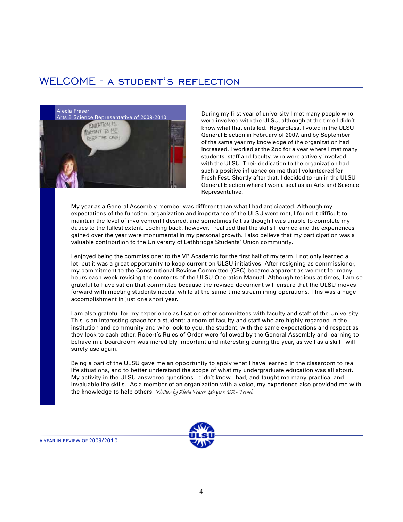### WELCOME - a student's reflection



During my first year of university I met many people who were involved with the ULSU, although at the time I didn't know what that entailed. Regardless, I voted in the ULSU General Election in February of 2007, and by September of the same year my knowledge of the organization had increased. I worked at the Zoo for a year where I met many students, staff and faculty, who were actively involved with the ULSU. Their dedication to the organization had such a positive influence on me that I volunteered for Fresh Fest. Shortly after that, I decided to run in the ULSU General Election where I won a seat as an Arts and Science Representative.

My year as a General Assembly member was different than what I had anticipated. Although my expectations of the function, organization and importance of the ULSU were met, I found it difficult to maintain the level of involvement I desired, and sometimes felt as though I was unable to complete my duties to the fullest extent. Looking back, however, I realized that the skills I learned and the experiences gained over the year were monumental in my personal growth. I also believe that my participation was a valuable contribution to the University of Lethbridge Students' Union community.

I enjoyed being the commissioner to the VP Academic for the first half of my term. I not only learned a lot, but it was a great opportunity to keep current on ULSU initiatives. After resigning as commissioner, my commitment to the Constitutional Review Committee (CRC) became apparent as we met for many hours each week revising the contents of the ULSU Operation Manual. Although tedious at times, I am so grateful to have sat on that committee because the revised document will ensure that the ULSU moves forward with meeting students needs, while at the same time streamlining operations. This was a huge accomplishment in just one short year.

I am also grateful for my experience as I sat on other committees with faculty and staff of the University. This is an interesting space for a student; a room of faculty and staff who are highly regarded in the institution and community and who look to you, the student, with the same expectations and respect as they look to each other. Robert's Rules of Order were followed by the General Assembly and learning to behave in a boardroom was incredibly important and interesting during the year, as well as a skill I will surely use again.

Being a part of the ULSU gave me an opportunity to apply what I have learned in the classroom to real life situations, and to better understand the scope of what my undergraduate education was all about. My activity in the ULSU answered questions I didn't know I had, and taught me many practical and invaluable life skills. As a member of an organization with a voice, my experience also provided me with the knowledge to help others. Written by Alecia Fraser, 4th year, BA - French

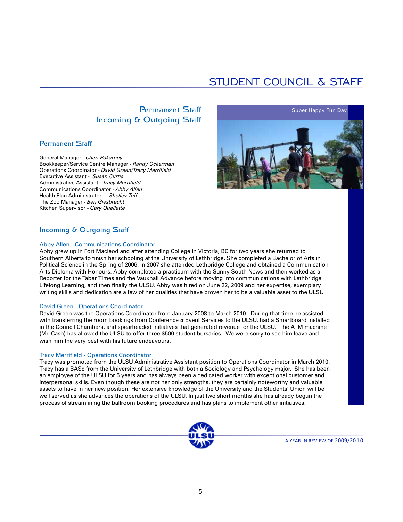## STUDENT COUNCIL & STAFF

### Permanent Staff Incoming & Outgoing Staff

### Permanent Staff

General Manager - *Cheri Pokarney* Bookkeeper/Service Centre Manager - *Randy Ockerman* Operations Coordinator - *David Green/Tracy Merrifield* Executive Assistant - *Susan Curtis* Administrative Assistant - *Tracy Merrifield* Communications Coordinator - *Abby Allen* Health Plan Administrator - *Shelley Tuff* The Zoo Manager - *Ben Giesbrecht* Kitchen Supervisor - *Gary Ouellette*



### Incoming & Outgoing Staff

#### Abby Allen - Communications Coordinator

Abby grew up in Fort Macleod and after attending College in Victoria, BC for two years she returned to Southern Alberta to finish her schooling at the University of Lethbridge. She completed a Bachelor of Arts in Political Science in the Spring of 2006. In 2007 she attended Lethbridge College and obtained a Communication Arts Diploma with Honours. Abby completed a practicum with the Sunny South News and then worked as a Reporter for the Taber Times and the Vauxhall Advance before moving into communications with Lethbridge Lifelong Learning, and then finally the ULSU. Abby was hired on June 22, 2009 and her expertise, exemplary writing skills and dedication are a few of her qualities that have proven her to be a valuable asset to the ULSU.

#### David Green - Operations Coordinator

David Green was the Operations Coordinator from January 2008 to March 2010. During that time he assisted with transferring the room bookings from Conference & Event Services to the ULSU, had a Smartboard installed in the Council Chambers, and spearheaded initiatives that generated revenue for the ULSU. The ATM machine (Mr. Cash) has allowed the ULSU to offer three \$500 student bursaries. We were sorry to see him leave and wish him the very best with his future endeavours.

#### Tracy Merrifield - Operations Coordinator

Tracy was promoted from the ULSU Administrative Assistant position to Operations Coordinator in March 2010. Tracy has a BASc from the University of Lethbridge with both a Sociology and Psychology major. She has been an employee of the ULSU for 5 years and has always been a dedicated worker with exceptional customer and interpersonal skills. Even though these are not her only strengths, they are certainly noteworthy and valuable assets to have in her new position. Her extensive knowledge of the University and the Students' Union will be well served as she advances the operations of the ULSU. In just two short months she has already begun the process of streamlining the ballroom booking procedures and has plans to implement other initiatives.

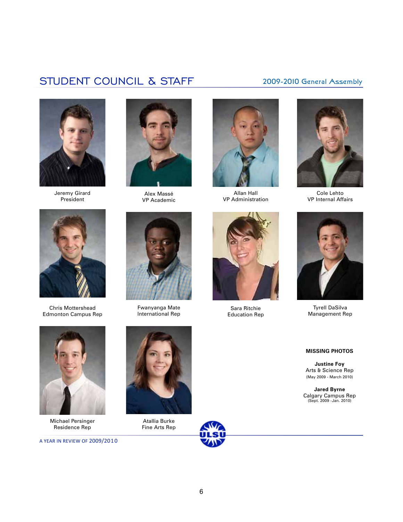## STUDENT COUNCIL & STAFF 2009-2010 General Assembly



Jeremy Girard President



Alex Massé VP Academic



Allan Hall VP Administration



Cole Lehto VP Internal Affairs



Chris Mottershead Edmonton Campus Rep



Fwanyanga Mate International Rep



Sara Ritchie Education Rep



Tyrell DaSilva Management Rep



**Justine Foy** Arts & Science Rep (May 2009 - March 2010)

**Jared Byrne** Calgary Campus Rep (Sept. 2009 -Jan. 2010)



Michael Persinger Residence Rep

A YEAR IN REVIEW OF 2009/201 0



Atallia Burke Fine Arts Rep

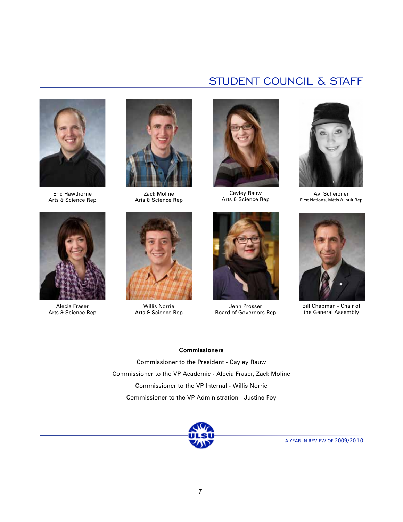

Eric Hawthorne Arts & Science Rep



Alecia Fraser Arts & Science Rep



Zack Moline Arts & Science Rep



Willis Norrie Arts & Science Rep



STUDENT COUNCIL & STAFF

Cayley Rauw Arts & Science Rep



Jenn Prosser Board of Governors Rep



Avi Scheibner First Nations, Métis & Inuit Rep



Bill Chapman - Chair of the General Assembly

#### **Commissioners**

Commissioner to the President - Cayley Rauw Commissioner to the VP Academic - Alecia Fraser, Zack Moline Commissioner to the VP Internal - Willis Norrie Commissioner to the VP Administration - Justine Foy

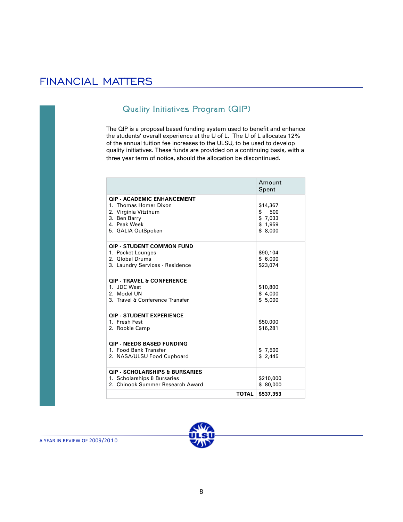### FINANCIAL MATTERS

### Quality Initiatives Program (QIP)

The QIP is a proposal based funding system used to benefit and enhance the students' overall experience at the U of L. The U of L allocates 12% of the annual tuition fee increases to the ULSU, to be used to develop quality initiatives. These funds are provided on a continuing basis, with a three year term of notice, should the allocation be discontinued.

|                                                                                                                                          | Amount<br>Spent                                        |
|------------------------------------------------------------------------------------------------------------------------------------------|--------------------------------------------------------|
| <b>OIP - ACADEMIC ENHANCEMENT</b><br>1. Thomas Homer Dixon<br>2. Virginia Vitzthum<br>3. Ben Barry<br>4. Peak Week<br>5. GALIA OutSpoken | \$14,367<br>\$<br>500<br>\$7,033<br>\$1,959<br>\$8,000 |
| <b>QIP - STUDENT COMMON FUND</b><br>1. Pocket Lounges<br>2. Global Drums<br>3. Laundry Services - Residence                              | \$90,104<br>\$6.000<br>\$23,074                        |
| <b>QIP - TRAVEL &amp; CONFERENCE</b><br>1. JDC West<br>2. Model UN<br>3. Travel & Conference Transfer                                    | \$10,800<br>\$4,000<br>\$5.000                         |
| <b>QIP - STUDENT EXPERIENCE</b><br>1. Fresh Fest<br>2. Rookie Camp                                                                       | \$50,000<br>\$16,281                                   |
| <b>OIP - NEEDS BASED FUNDING</b><br>1. Food Bank Transfer<br>2. NASA/ULSU Food Cupboard                                                  | \$7.500<br>\$2.445                                     |
| <b>QIP - SCHOLARSHIPS &amp; BURSARIES</b><br>1. Scholarships & Bursaries<br>2. Chinook Summer Research Award                             | \$210,000<br>\$80,000                                  |
| <b>TOTAL</b>                                                                                                                             | \$537,353                                              |

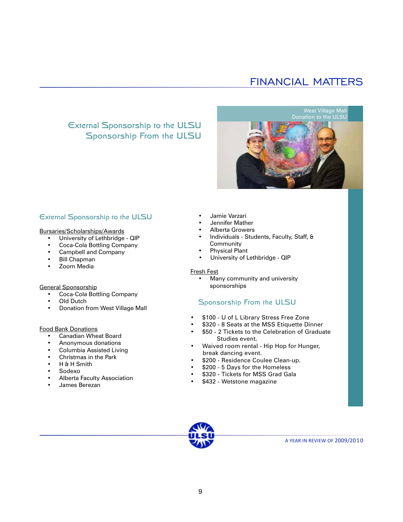## FINANCIAL MATTERS

### External Sponsorship to the ULSU Sponsorship From the ULSU

West Village Mall Donation to the ULSU

### External Sponsorship to the ULSU

#### Bursaries/Scholarships/Awards

- University of Lethbridge QIP
- Coca-Cola Bottling Company
- Campbell and Company
- Bill Chapman
- Zoom Media

#### General Sponsorship

- Coca-Cola Bottling Company
- **Old Dutch**
- Donation from West Village Mall

#### Food Bank Donations

- Canadian Wheat Board
- Anonymous donations
- Columbia Assisted Living
- Christmas in the Park
- H & H Smith
- Sodexo
- Alberta Faculty Association
- James Berezan
- Jamie Varzari
- Jennifer Mather
- Alberta Growers
- Individuals Students, Faculty, Staff, & Community
- Physical Plant
- University of Lethbridge QIP

#### Fresh Fest

Many community and university sponsorships

#### Sponsorship From the ULSU

- \$100 U of L Library Stress Free Zone
- \$320 8 Seats at the MSS Etiquette Dinner
- \$50 2 Tickets to the Celebration of Graduate Studies event.
- Waived room rental Hip Hop for Hunger, break dancing event.
- \$200 Residence Coulee Clean-up.
- \$200 5 Days for the Homeless
- \$320 Tickets for MSS Grad Gala
- \$432 Wetstone magazine

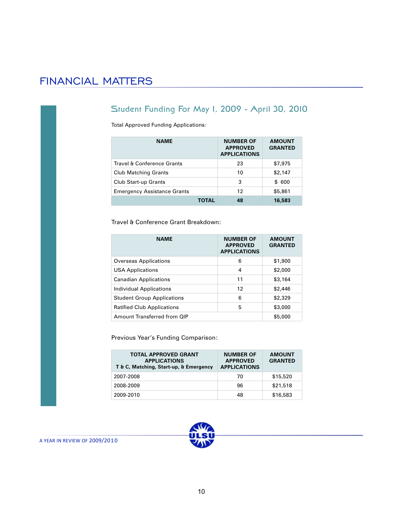## FINANCIAL MATTERS

### Student Funding For May 1, 2009 - April 30, 2010

Total Approved Funding Applications:

| <b>NAME</b>                        | <b>NUMBER OF</b><br><b>APPROVED</b><br><b>APPLICATIONS</b> | <b>AMOUNT</b><br><b>GRANTED</b> |
|------------------------------------|------------------------------------------------------------|---------------------------------|
| Travel & Conference Grants         | 23                                                         | \$7,975                         |
| <b>Club Matching Grants</b>        | 10                                                         | \$2,147                         |
| <b>Club Start-up Grants</b>        | 3                                                          | \$ 600                          |
| <b>Emergency Assistance Grants</b> | 12                                                         | \$5,861                         |
|                                    | 48                                                         | 16,583                          |

Travel & Conference Grant Breakdown:

| <b>NAME</b>                       | <b>NUMBER OF</b><br><b>APPROVED</b><br><b>APPLICATIONS</b> | <b>AMOUNT</b><br><b>GRANTED</b> |
|-----------------------------------|------------------------------------------------------------|---------------------------------|
| Overseas Applications             | 6                                                          | \$1,900                         |
| <b>USA Applications</b>           | 4                                                          | \$2,000                         |
| <b>Canadian Applications</b>      | 11                                                         | \$3,164                         |
| Individual Applications           | 12                                                         | \$2,446                         |
| <b>Student Group Applications</b> | 6                                                          | \$2,329                         |
| <b>Ratified Club Applications</b> | 5                                                          | \$3,000                         |
| Amount Transferred from QIP       |                                                            | \$5,000                         |

Previous Year's Funding Comparison:

| <b>TOTAL APPROVED GRANT</b><br><b>APPLICATIONS</b><br>T & C, Matching, Start-up, & Emergency | <b>NUMBER OF</b><br><b>APPROVED</b><br><b>APPLICATIONS</b> | <b>AMOUNT</b><br><b>GRANTED</b> |
|----------------------------------------------------------------------------------------------|------------------------------------------------------------|---------------------------------|
| 2007-2008                                                                                    | 70                                                         | \$15,520                        |
| 2008-2009                                                                                    | 96                                                         | \$21,518                        |
| 2009-2010                                                                                    | 48                                                         | \$16,583                        |

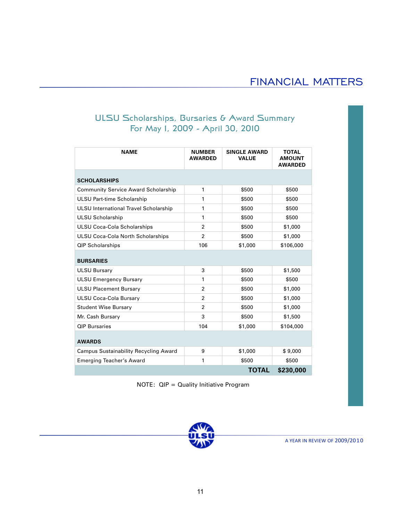### ULSU Scholarships, Bursaries & Award Summary For May 1, 2009 - April 30, 2010

| <b>NAME</b>                                  | <b>NUMBER</b><br><b>AWARDED</b> | <b>SINGLE AWARD</b><br><b>VALUE</b> | <b>TOTAL</b><br><b>AMOUNT</b><br><b>AWARDED</b> |
|----------------------------------------------|---------------------------------|-------------------------------------|-------------------------------------------------|
| <b>SCHOLARSHIPS</b>                          |                                 |                                     |                                                 |
| <b>Community Service Award Scholarship</b>   | 1                               | \$500                               | \$500                                           |
| <b>ULSU Part-time Scholarship</b>            | 1                               | \$500                               | \$500                                           |
| ULSU International Travel Scholarship        | 1                               | \$500                               | \$500                                           |
| <b>ULSU Scholarship</b>                      | 1                               | \$500                               | \$500                                           |
| <b>ULSU Coca-Cola Scholarships</b>           | $\overline{2}$                  | \$500                               | \$1,000                                         |
| <b>ULSU Coca-Cola North Scholarships</b>     | $\overline{2}$                  | \$500                               | \$1,000                                         |
| <b>QIP Scholarships</b>                      | 106                             | \$1,000                             | \$106,000                                       |
| <b>BURSARIES</b>                             |                                 |                                     |                                                 |
| <b>ULSU Bursary</b>                          | 3                               | \$500                               | \$1,500                                         |
| <b>ULSU Emergency Bursary</b>                | 1                               | \$500                               | \$500                                           |
| <b>ULSU Placement Bursary</b>                | $\overline{2}$                  | \$500                               | \$1,000                                         |
| <b>ULSU Coca-Cola Bursary</b>                | $\overline{2}$                  | \$500                               | \$1,000                                         |
| <b>Student Wise Bursary</b>                  | $\overline{2}$                  | \$500                               | \$1,000                                         |
| Mr. Cash Bursary                             | 3                               | \$500                               | \$1,500                                         |
| <b>QIP Bursaries</b>                         | 104                             | \$1,000                             | \$104,000                                       |
| <b>AWARDS</b>                                |                                 |                                     |                                                 |
| <b>Campus Sustainability Recycling Award</b> | 9                               | \$1,000                             | \$9,000                                         |
| <b>Emerging Teacher's Award</b>              | 1                               | \$500                               | \$500                                           |
|                                              |                                 | <b>TOTAL</b>                        | \$230,000                                       |

NOTE: QIP = Quality Initiative Program

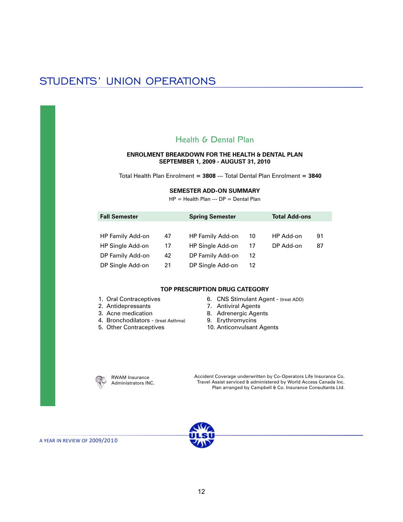### Health & Dental Plan

#### **ENROLMENT BREAKDOWN FOR THE HEALTH & DENTAL PLAN SEPTEMBER 1, 2009 - AUGUST 31, 2010**

Total Health Plan Enrolment **= 3808** --- Total Dental Plan Enrolment **= 3840**

#### **SEMESTER ADD-ON SUMMARY**

HP = Health Plan --- DP = Dental Plan

| <b>Fall Semester</b> |    | <b>Spring Semester</b><br><b>Total Add-ons</b> |    |           |    |
|----------------------|----|------------------------------------------------|----|-----------|----|
|                      |    |                                                |    |           |    |
| HP Family Add-on     | 47 | HP Family Add-on                               | 10 | HP Add-on | 91 |
| HP Single Add-on     | 17 | HP Single Add-on                               | 17 | DP Add-on | 87 |
| DP Family Add-on     | 42 | DP Family Add-on                               | 12 |           |    |
| DP Single Add-on     | 21 | DP Single Add-on                               | 12 |           |    |

#### **TOP PRESCRIPTION DRUG CATEGORY**

- 1. Oral Contraceptives
- 2. Antidepressants
- 3. Acne medication
- 4. Bronchodilators (treat Asthma)
- 5. Other Contraceptives
- 6. CNS Stimulant Agent (treat ADD)
- 7. Antiviral Agents
- 8. Adrenergic Agents
- 9. Erythromycins
- 10. Anticonvulsant Agents

RWAM Insurance Administrators INC. Accident Coverage underwritten by Co-Operators Life Insurance Co. Travel Assist serviced & administered by World Access Canada Inc. Plan arranged by Campbell & Co. Insurance Consultants Ltd.

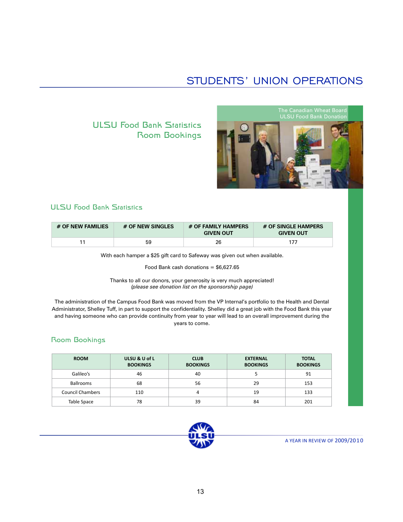### ULSU Food Bank Statistics Room Bookings



### ULSU Food Bank Statistics

| # OF NEW FAMILIES | # OF NEW SINGLES | # OF FAMILY HAMPERS<br><b>GIVEN OUT</b> | # OF SINGLE HAMPERS<br><b>GIVEN OUT</b> |
|-------------------|------------------|-----------------------------------------|-----------------------------------------|
| 11                | 59               | 26                                      | 177                                     |

With each hamper a \$25 gift card to Safeway was given out when available.

Food Bank cash donations  $= $6,627.65$ 

Thanks to all our donors, your generosity is very much appreciated! *(please see donation list on the sponsorship page)*

The administration of the Campus Food Bank was moved from the VP Internal's portfolio to the Health and Dental Administrator, Shelley Tuff, in part to support the confidentiality. Shelley did a great job with the Food Bank this year and having someone who can provide continuity from year to year will lead to an overall improvement during the years to come.

#### Room Bookings

| <b>ROOM</b>      | ULSU & U of L<br><b>BOOKINGS</b> | <b>CLUB</b><br><b>BOOKINGS</b> | <b>EXTERNAL</b><br><b>BOOKINGS</b> | <b>TOTAL</b><br><b>BOOKINGS</b> |
|------------------|----------------------------------|--------------------------------|------------------------------------|---------------------------------|
| Galileo's        | 46                               | 40                             |                                    | 91                              |
| <b>Ballrooms</b> | 68                               | 56                             | 29                                 | 153                             |
| Council Chambers | 110                              | 4                              | 19                                 | 133                             |
| Table Space      | 78                               | 39                             | 84                                 | 201                             |

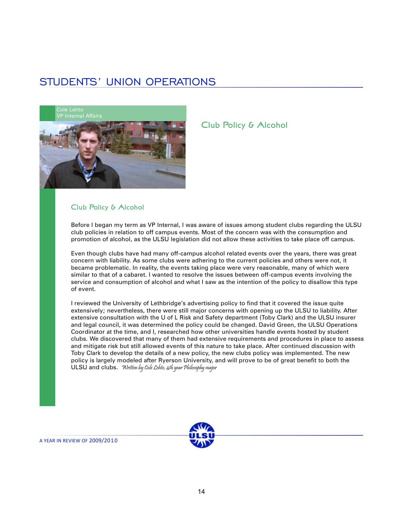

#### Club Policy & Alcohol

Before I began my term as VP Internal, I was aware of issues among student clubs regarding the ULSU club policies in relation to off campus events. Most of the concern was with the consumption and promotion of alcohol, as the ULSU legislation did not allow these activities to take place off campus.

Club Policy & Alcohol

Even though clubs have had many off-campus alcohol related events over the years, there was great concern with liability. As some clubs were adhering to the current policies and others were not, it became problematic. In reality, the events taking place were very reasonable, many of which were similar to that of a cabaret. I wanted to resolve the issues between off-campus events involving the service and consumption of alcohol and what I saw as the intention of the policy to disallow this type of event.

I reviewed the University of Lethbridge's advertising policy to find that it covered the issue quite extensively; nevertheless, there were still major concerns with opening up the ULSU to liability. After extensive consultation with the U of L Risk and Safety department (Toby Clark) and the ULSU insurer and legal council, it was determined the policy could be changed. David Green, the ULSU Operations Coordinator at the time, and I, researched how other universities handle events hosted by student clubs. We discovered that many of them had extensive requirements and procedures in place to assess and mitigate risk but still allowed events of this nature to take place. After continued discussion with Toby Clark to develop the details of a new policy, the new clubs policy was implemented. The new policy is largely modeled after Ryerson University, and will prove to be of great benefit to both the ULSU and clubs. Written by Cole Lehto, 4th year Philosophy major

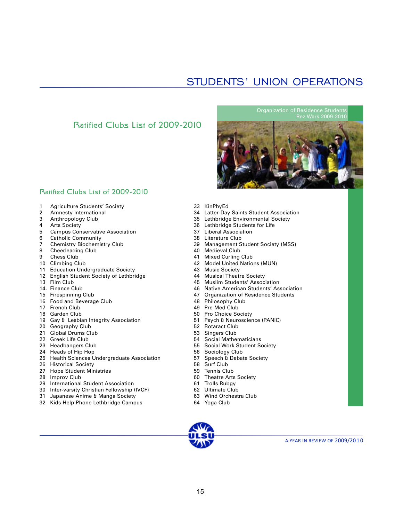### Ratified Clubs List of 2009-2010

Organization of Residence Students Rez Wars 2009-2010



### Ratified Clubs List of 2009-2010

- 1 Agriculture Students' Society
- 2 Amnesty International
- 3 Anthropology Club
- 4 Arts Society<br>5 Campus Con
- Campus Conservative Association
- 6 Catholic Community<br>7 Chemistry Biochemis
- 7 Chemistry Biochemistry Club<br>8 Cheerleading Club
- Cheerleading Club
- 9 Chess Club
- 10 Climbing Club
- 11 Education Undergraduate Society
- 12 English Student Society of Lethbridge
- 13 Film Club
- 14. Finance Club
- 15 Firespinning Club
- 16 Food and Beverage Club
- 17 French Club
- 18 Garden Club
- 19 Gay & Lesbian Integrity Association
- 20 Geography Club
- 21 Global Drums Club
- 22 Greek Life Club
- 23 Headbangers Club
- 24 Heads of Hip Hop
- 25 Health Sciences Undergraduate Association
- 26 Historical Society
- 27 Hope Student Ministries
- 28 Improv Club
- 29 International Student Association
- 30 Inter-varsity Christian Fellowship (IVCF)
- 31 Japanese Anime & Manga Society
- 32 Kids Help Phone Lethbridge Campus
- 33 KinPhyEd
- 34 Latter-Day Saints Student Association
- 35 Lethbridge Environmental Society
- 36 Lethbridge Students for Life
- 37 Liberal Association
- 38 Literature Club<br>39 Management S
- 39 Management Student Society (MSS)<br>40 Medieval Club
- Medieval Club
- 41 Mixed Curling Club
- 42 Model United Nations (MUN)
- 43 Music Society
- 44 Musical Theatre Society<br>45 Muslim Students' Associ
- Muslim Students' Association
- 46 Native American Students' Association<br>47 Organization of Residence Students
- **Organization of Residence Students**
- 48 Philosophy Club
- 49 Pre Med Club
- 50 Pro Choice Society
- 51 Psych & Neuroscience (PANiC)
- 52 Rotaract Club
- 53 Singers Club
- 54 Social Mathematicians
- 55 Social Work Student Society
- 56 Sociology Club
- 57 Speech & Debate Society
- 58 Surf Club
- 59 Tennis Club
- 60 Theatre Arts Society
- 61 Trolls Rubgy
- 62 Ultimate Club
- 63 Wind Orchestra Club
- 64 Yoga Club

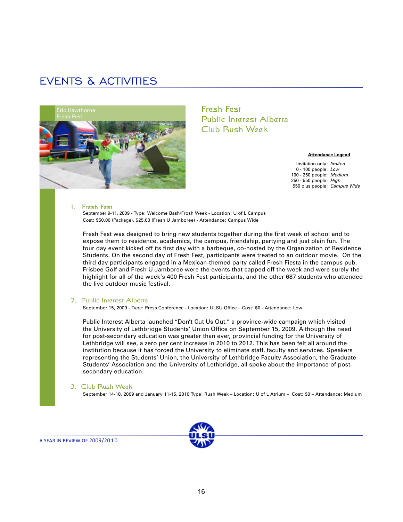

Fresh Fest Public Interest Alberta Club Rush Week

#### **Attendance Legend**

Invitation only: *limited* 0 - 100 people: *Low* 100 - 250 people: *Medium* 250 - 550 people: *High* 550 plus people: *Campus Wide*

#### 1. Fresh Fest

September 9-11, 2009 - Type: Welcome Bash/Frosh Week - Location: U of L Campus Cost: \$50.00 (Package), \$25.00 (Fresh U Jamboree) - Attendance: Campus Wide

Fresh Fest was designed to bring new students together during the first week of school and to expose them to residence, academics, the campus, friendship, partying and just plain fun. The four day event kicked off its first day with a barbeque, co-hosted by the Organization of Residence Students. On the second day of Fresh Fest, participants were treated to an outdoor movie. On the third day participants engaged in a Mexican-themed party called Fresh Fiesta in the campus pub. Frisbee Golf and Fresh U Jamboree were the events that capped off the week and were surely the highlight for all of the week's 400 Fresh Fest participants, and the other 687 students who attended the live outdoor music festival.

#### 2. Public Interest Alberta

September 15, 2009 - Type: Press Conference - Location: ULSU Office – Cost: \$0 - Attendance: Low

Public Interest Alberta launched "Don't Cut Us Out," a province-wide campaign which visited the University of Lethbridge Students' Union Office on September 15, 2009. Although the need for post-secondary education was greater than ever, provincial funding for the University of Lethbridge will see, a zero per cent increase in 2010 to 2012. This has been felt all around the institution because it has forced the University to eliminate staff, faculty and services. Speakers representing the Students' Union, the University of Lethbridge Faculty Association, the Graduate Students' Association and the University of Lethbridge, all spoke about the importance of postsecondary education.

#### 3. Club Rush Week

September 14-18, 2009 and January 11-15, 2010 Type: Rush Week – Location: U of L Atrium – Cost: \$0 – Attendance: Medium

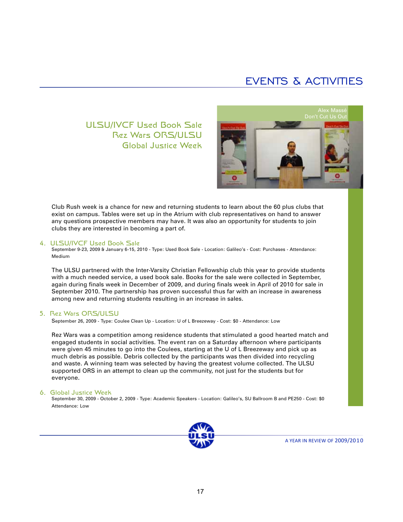### ULSU/IVCF Used Book Sale Rez Wars ORS/ULSU Global Justice Week



Club Rush week is a chance for new and returning students to learn about the 60 plus clubs that exist on campus. Tables were set up in the Atrium with club representatives on hand to answer any questions prospective members may have. It was also an opportunity for students to join clubs they are interested in becoming a part of.

#### 4. ULSU/IVCF Used Book Sale

September 9-23, 2009 & January 6-15, 2010 - Type: Used Book Sale - Location: Galileo's - Cost: Purchases - Attendance: Medium

The ULSU partnered with the Inter-Varsity Christian Fellowship club this year to provide students with a much needed service, a used book sale. Books for the sale were collected in September, again during finals week in December of 2009, and during finals week in April of 2010 for sale in September 2010. The partnership has proven successful thus far with an increase in awareness among new and returning students resulting in an increase in sales.

#### 5. Rez Wars ORS/ULSU

September 26, 2009 - Type: Coulee Clean Up - Location: U of L Breezeway - Cost: \$0 - Attendance: Low

Rez Wars was a competition among residence students that stimulated a good hearted match and engaged students in social activities. The event ran on a Saturday afternoon where participants were given 45 minutes to go into the Coulees, starting at the U of L Breezeway and pick up as much debris as possible. Debris collected by the participants was then divided into recycling and waste. A winning team was selected by having the greatest volume collected. The ULSU supported ORS in an attempt to clean up the community, not just for the students but for everyone.

#### 6. Global Justice Week

September 30, 2009 - October 2, 2009 - Type: Academic Speakers - Location: Galileo's, SU Ballroom B and PE250 - Cost: \$0 Attendance: Low

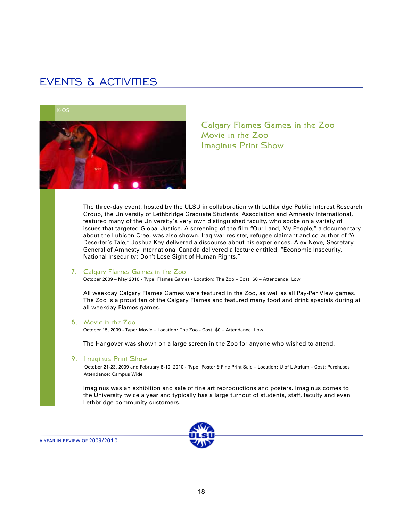

Calgary Flames Games in the Zoo Movie in the Zoo Imaginus Print Show

The three-day event, hosted by the ULSU in collaboration with Lethbridge Public Interest Research Group, the University of Lethbridge Graduate Students' Association and Amnesty International, featured many of the University's very own distinguished faculty, who spoke on a variety of issues that targeted Global Justice. A screening of the film "Our Land, My People," a documentary about the Lubicon Cree, was also shown. Iraq war resister, refugee claimant and co-author of "A Deserter's Tale," Joshua Key delivered a discourse about his experiences. Alex Neve, Secretary General of Amnesty International Canada delivered a lecture entitled, "Economic Insecurity, National Insecurity: Don't Lose Sight of Human Rights."

#### 7. Calgary Flames Games in the Zoo

October 2009 – May 2010 - Type: Flames Games - Location: The Zoo – Cost: \$0 – Attendance: Low

All weekday Calgary Flames Games were featured in the Zoo, as well as all Pay-Per View games. The Zoo is a proud fan of the Calgary Flames and featured many food and drink specials during at all weekday Flames games.

#### 8. Movie in the Zoo

October 15, 2009 - Type: Movie – Location: The Zoo - Cost: \$0 – Attendance: Low

The Hangover was shown on a large screen in the Zoo for anyone who wished to attend.

#### 9. Imaginus Print Show

 October 21-23, 2009 and February 8-10, 2010 - Type: Poster & Fine Print Sale – Location: U of L Atrium – Cost: Purchases Attendance: Campus Wide

Imaginus was an exhibition and sale of fine art reproductions and posters. Imaginus comes to the University twice a year and typically has a large turnout of students, staff, faculty and even Lethbridge community customers.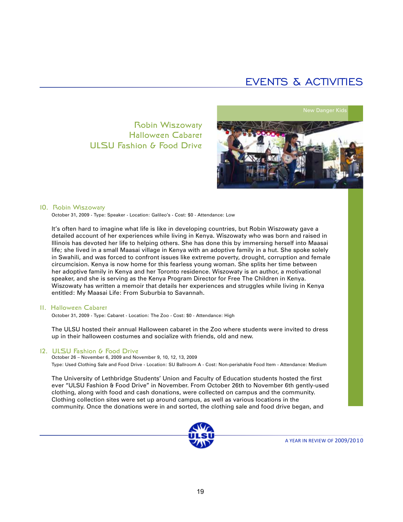### Robin Wiszowaty Halloween Cabaret ULSU Fashion & Food Drive





#### 10. Robin Wiszowaty

October 31, 2009 - Type: Speaker - Location: Galileo's - Cost: \$0 - Attendance: Low

It's often hard to imagine what life is like in developing countries, but Robin Wiszowaty gave a detailed account of her experiences while living in Kenya. Wiszowaty who was born and raised in Illinois has devoted her life to helping others. She has done this by immersing herself into Maasai life; she lived in a small Maasai village in Kenya with an adoptive family in a hut. She spoke solely in Swahili, and was forced to confront issues like extreme poverty, drought, corruption and female circumcision. Kenya is now home for this fearless young woman. She splits her time between her adoptive family in Kenya and her Toronto residence. Wiszowaty is an author, a motivational speaker, and she is serving as the Kenya Program Director for Free The Children in Kenya. Wiszowaty has written a memoir that details her experiences and struggles while living in Kenya entitled: My Maasai Life: From Suburbia to Savannah.

#### 11. Halloween Cabaret

October 31, 2009 - Type: Cabaret - Location: The Zoo - Cost: \$0 - Attendance: High

The ULSU hosted their annual Halloween cabaret in the Zoo where students were invited to dress up in their halloween costumes and socialize with friends, old and new.

#### 12. ULSU Fashion & Food Drive

October 26 – November 6, 2009 and November 9, 10, 12, 13, 2009 Type: Used Clothing Sale and Food Drive - Location: SU Ballroom A - Cost: Non-perishable Food Item - Attendance: Medium

The University of Lethbridge Students' Union and Faculty of Education students hosted the first ever "ULSU Fashion & Food Drive" in November. From October 26th to November 6th gently-used clothing, along with food and cash donations, were collected on campus and the community. Clothing collection sites were set up around campus, as well as various locations in the community. Once the donations were in and sorted, the clothing sale and food drive began, and

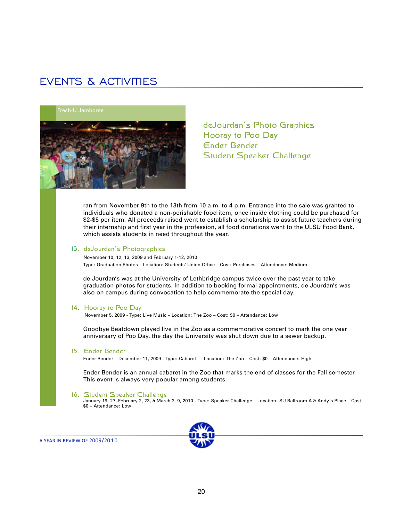

deJourdan's Photo Graphics Hooray to Poo Day Ender Bender Student Speaker Challenge

ran from November 9th to the 13th from 10 a.m. to 4 p.m. Entrance into the sale was granted to individuals who donated a non-perishable food item, once inside clothing could be purchased for \$2-\$5 per item. All proceeds raised went to establish a scholarship to assist future teachers during their internship and first year in the profession, all food donations went to the ULSU Food Bank, which assists students in need throughout the year.

#### 13. deJourdan's Photographics

 November 10, 12, 13, 2009 and February 1-12, 2010 Type: Graduation Photos – Location: Students' Union Office – Cost: Purchases – Attendance: Medium

de Jourdan's was at the University of Lethbridge campus twice over the past year to take graduation photos for students. In addition to booking formal appointments, de Jourdan's was also on campus during convocation to help commemorate the special day.

#### 14. Hooray to Poo Day

November 5, 2009 - Type: Live Music – Location: The Zoo – Cost: \$0 – Attendance: Low

Goodbye Beatdown played live in the Zoo as a commemorative concert to mark the one year anniversary of Poo Day, the day the University was shut down due to a sewer backup.

#### 15. Ender Bender

Ender Bender – December 11, 2009 - Type: Cabaret – Location: The Zoo – Cost: \$0 – Attendance: High

Ender Bender is an annual cabaret in the Zoo that marks the end of classes for the Fall semester. This event is always very popular among students.

#### 16. Student Speaker Challenge

January 19, 27, February 2, 23, & March 2, 9, 2010 - Type: Speaker Challenge – Location: SU Ballroom A & Andy's Place – Cost: \$0 – Attendance: Low

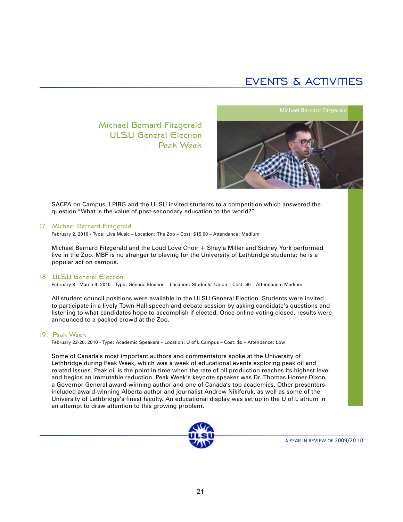### Michael Bernard Fitzgerald ULSU General Election Peak Week



SACPA on Campus, LPIRG and the ULSU invited students to a competition which answered the question "What is the value of post-secondary education to the world?"

#### 17. Michael Bernard Fitzgerald

February 2, 2010 - Type: Live Music – Location: The Zoo – Cost: \$15.00 – Attendance: Medium

Michael Bernard Fitzgerald and the Loud Love Choir + Shayla Miller and Sidney York performed live in the Zoo. MBF is no stranger to playing for the University of Lethbridge students; he is a popular act on campus.

#### 18. ULSU General Election

February 8 - March 4, 2010 - Type: General Election – Location: Students' Union – Cost: \$0 – Attendance: Medium

All student council positions were available in the ULSU General Election. Students were invited to participate in a lively Town Hall speech and debate session by asking candidate's questions and listening to what candidates hope to accomplish if elected. Once online voting closed, results were announced to a packed crowd at the Zoo.

#### 19. Peak Week

February 22-26, 2010 - Type: Academic Speakers – Location: U of L Campus – Cost: \$0 – Attendance: Low

Some of Canada's most important authors and commentators spoke at the University of Lethbridge during Peak Week, which was a week of educational events exploring peak oil and related issues. Peak oil is the point in time when the rate of oil production reaches its highest level and begins an immutable reduction. Peak Week's keynote speaker was Dr. Thomas Homer-Dixon, a Governor General award-winning author and one of Canada's top academics. Other presenters included award-winning Alberta author and journalist Andrew Nikiforuk, as well as some of the University of Lethbridge's finest faculty. An educational display was set up in the U of L atrium in an attempt to draw attention to this growing problem.

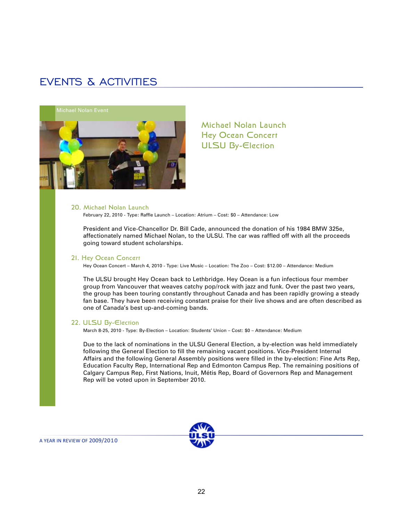

Michael Nolan Launch Hey Ocean Concert ULSU By-Election

#### 20. Michael Nolan Launch

February 22, 2010 - Type: Raffle Launch – Location: Atrium – Cost: \$0 – Attendance: Low

President and Vice-Chancellor Dr. Bill Cade, announced the donation of his 1984 BMW 325e, affectionately named Michael Nolan, to the ULSU. The car was raffled off with all the proceeds going toward student scholarships.

#### 21. Hey Ocean Concert

Hey Ocean Concert – March 4, 2010 - Type: Live Music – Location: The Zoo – Cost: \$12.00 – Attendance: Medium

The ULSU brought Hey Ocean back to Lethbridge. Hey Ocean is a fun infectious four member group from Vancouver that weaves catchy pop/rock with jazz and funk. Over the past two years, the group has been touring constantly throughout Canada and has been rapidly growing a steady fan base. They have been receiving constant praise for their live shows and are often described as one of Canada's best up-and-coming bands.

#### 22. ULSU By-Election

March 8-25, 2010 - Type: By-Election – Location: Students' Union – Cost: \$0 – Attendance: Medium

Due to the lack of nominations in the ULSU General Election, a by-election was held immediately following the General Election to fill the remaining vacant positions. Vice-President Internal Affairs and the following General Assembly positions were filled in the by-election: Fine Arts Rep, Education Faculty Rep, International Rep and Edmonton Campus Rep. The remaining positions of Calgary Campus Rep, First Nations, Inuit, Métis Rep, Board of Governors Rep and Management Rep will be voted upon in September 2010.

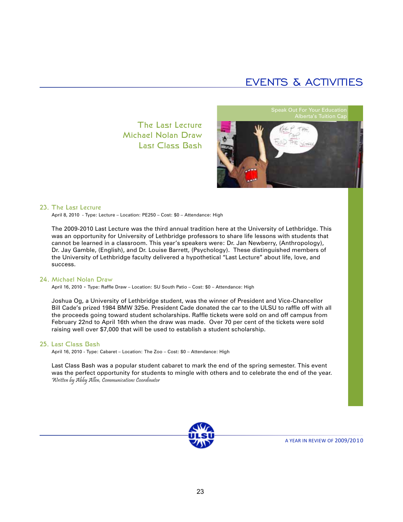The Last Lecture Michael Nolan Draw Last Class Bash



#### 23. The Last Lecture

April 8, 2010 - Type: Lecture – Location: PE250 – Cost: \$0 – Attendance: High

The 2009-2010 Last Lecture was the third annual tradition here at the University of Lethbridge. This was an opportunity for University of Lethbridge professors to share life lessons with students that cannot be learned in a classroom. This year's speakers were: Dr. Jan Newberry, (Anthropology), Dr. Jay Gamble, (English), and Dr. Louise Barrett, (Psychology). These distinguished members of the University of Lethbridge faculty delivered a hypothetical "Last Lecture" about life, love, and success.

#### 24. Michael Nolan Draw

April 16, 2010 - Type: Raffle Draw – Location: SU South Patio – Cost: \$0 – Attendance: High

Joshua Og, a University of Lethbridge student, was the winner of President and Vice-Chancellor Bill Cade's prized 1984 BMW 325e. President Cade donated the car to the ULSU to raffle off with all the proceeds going toward student scholarships. Raffle tickets were sold on and off campus from February 22nd to April 16th when the draw was made. Over 70 per cent of the tickets were sold raising well over \$7,000 that will be used to establish a student scholarship.

#### 25. Last Class Bash

April 16, 2010 - Type: Cabaret – Location: The Zoo – Cost: \$0 – Attendance: High

Last Class Bash was a popular student cabaret to mark the end of the spring semester. This event was the perfect opportunity for students to mingle with others and to celebrate the end of the year. Written by Abby Allen, Communications Coordinator

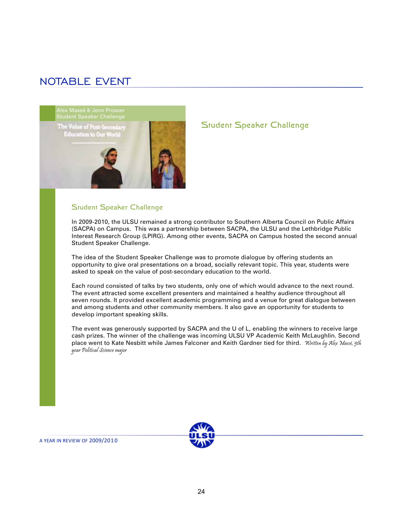### NOTABLE EVENT



#### Student Speaker Challenge

In 2009-2010, the ULSU remained a strong contributor to Southern Alberta Council on Public Affairs (SACPA) on Campus. This was a partnership between SACPA, the ULSU and the Lethbridge Public Interest Research Group (LPIRG). Among other events, SACPA on Campus hosted the second annual Student Speaker Challenge.

Student Speaker Challenge

The idea of the Student Speaker Challenge was to promote dialogue by offering students an opportunity to give oral presentations on a broad, socially relevant topic. This year, students were asked to speak on the value of post-secondary education to the world.

Each round consisted of talks by two students, only one of which would advance to the next round. The event attracted some excellent presenters and maintained a healthy audience throughout all seven rounds. It provided excellent academic programming and a venue for great dialogue between and among students and other community members. It also gave an opportunity for students to develop important speaking skills.

The event was generously supported by SACPA and the U of L, enabling the winners to receive large cash prizes. The winner of the challenge was incoming ULSU VP Academic Keith McLaughlin. Second place went to Kate Nesbitt while James Falconer and Keith Gardner tied for third. Written by Alex Massé, 5th year Political Science major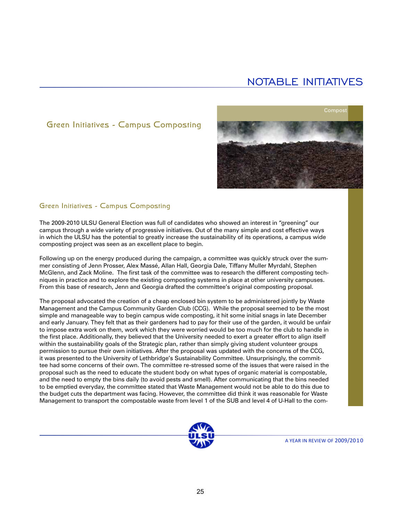### Green Initiatives - Campus Composting



### Green Initiatives - Campus Composting

The 2009-2010 ULSU General Election was full of candidates who showed an interest in "greening" our campus through a wide variety of progressive initiatives. Out of the many simple and cost effective ways in which the ULSU has the potential to greatly increase the sustainability of its operations, a campus wide composting project was seen as an excellent place to begin.

Following up on the energy produced during the campaign, a committee was quickly struck over the summer consisting of Jenn Prosser, Alex Massé, Allan Hall, Georgia Dale, Tiffany Muller Myrdahl, Stephen McGlenn, and Zack Moline. The first task of the committee was to research the different composting techniques in practice and to explore the existing composting systems in place at other university campuses. From this base of research, Jenn and Georgia drafted the committee's original composting proposal.

The proposal advocated the creation of a cheap enclosed bin system to be administered jointly by Waste Management and the Campus Community Garden Club (CCG). While the proposal seemed to be the most simple and manageable way to begin campus wide composting, it hit some initial snags in late December and early January. They felt that as their gardeners had to pay for their use of the garden, it would be unfair to impose extra work on them, work which they were worried would be too much for the club to handle in the first place. Additionally, they believed that the University needed to exert a greater effort to align itself within the sustainability goals of the Strategic plan, rather than simply giving student volunteer groups permission to pursue their own initiatives. After the proposal was updated with the concerns of the CCG, it was presented to the University of Lethbridge's Sustainability Committee. Unsurprisingly, the committee had some concerns of their own. The committee re-stressed some of the issues that were raised in the proposal such as the need to educate the student body on what types of organic material is compostable, and the need to empty the bins daily (to avoid pests and smell). After communicating that the bins needed to be emptied everyday, the committee stated that Waste Management would not be able to do this due to the budget cuts the department was facing. However, the committee did think it was reasonable for Waste Management to transport the compostable waste from level 1 of the SUB and level 4 of U-Hall to the com-

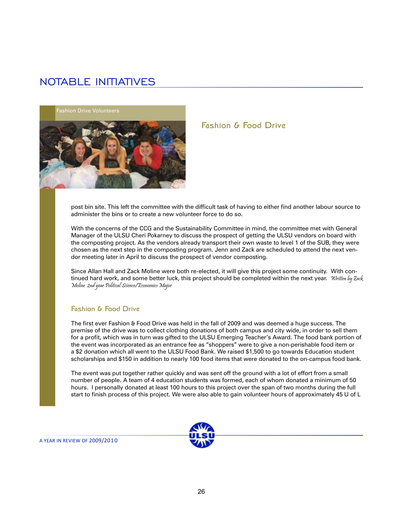**Fashion Drive Volunteers** 



### Fashion & Food Drive

post bin site. This left the committee with the difficult task of having to either find another labour source to administer the bins or to create a new volunteer force to do so.

With the concerns of the CCG and the Sustainability Committee in mind, the committee met with General Manager of the ULSU Cheri Pokarney to discuss the prospect of getting the ULSU vendors on board with the composting project. As the vendors already transport their own waste to level 1 of the SUB, they were chosen as the next step in the composting program. Jenn and Zack are scheduled to attend the next vendor meeting later in April to discuss the prospect of vendor composting.

Since Allan Hall and Zack Moline were both re-elected, it will give this project some continuity. With continued hard work, and some better luck, this project should be completed within the next year. Written by Zack Moline 2nd year Political Science/Economics Major

#### Fashion & Food Drive

The first ever Fashion & Food Drive was held in the fall of 2009 and was deemed a huge success. The premise of the drive was to collect clothing donations of both campus and city wide, in order to sell them for a profit, which was in turn was gifted to the ULSU Emerging Teacher's Award. The food bank portion of the event was incorporated as an entrance fee as "shoppers" were to give a non-perishable food item or a \$2 donation which all went to the ULSU Food Bank. We raised \$1,500 to go towards Education student scholarships and \$150 in addition to nearly 100 food items that were donated to the on-campus food bank.

The event was put together rather quickly and was sent off the ground with a lot of effort from a small number of people. A team of 4 education students was formed, each of whom donated a minimum of 50 hours. I personally donated at least 100 hours to this project over the span of two months during the full start to finish process of this project. We were also able to gain volunteer hours of approximately 45 U of L

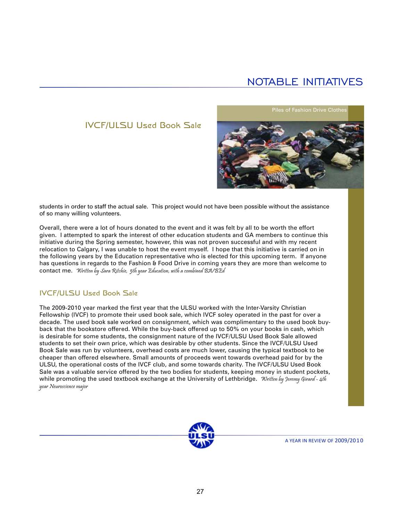### IVCF/ULSU Used Book Sale

Piles of Fashion Drive Clothe



students in order to staff the actual sale. This project would not have been possible without the assistance of so many willing volunteers.

Overall, there were a lot of hours donated to the event and it was felt by all to be worth the effort given. I attempted to spark the interest of other education students and GA members to continue this initiative during the Spring semester, however, this was not proven successful and with my recent relocation to Calgary, I was unable to host the event myself. I hope that this initiative is carried on in the following years by the Education representative who is elected for this upcoming term. If anyone has questions in regards to the Fashion & Food Drive in coming years they are more than welcome to contact me. Written by Sara Ritchie, 5th year Education, with a combined BA/BEd

### IVCF/ULSU Used Book Sale

The 2009-2010 year marked the first year that the ULSU worked with the Inter-Varsity Christian Fellowship (IVCF) to promote their used book sale, which IVCF soley operated in the past for over a decade. The used book sale worked on consignment, which was complimentary to the used book buyback that the bookstore offered. While the buy-back offered up to 50% on your books in cash, which is desirable for some students, the consignment nature of the IVCF/ULSU Used Book Sale allowed students to set their own price, which was desirable by other students. Since the IVCF/ULSU Used Book Sale was run by volunteers, overhead costs are much lower, causing the typical textbook to be cheaper than offered elsewhere. Small amounts of proceeds went towards overhead paid for by the ULSU, the operational costs of the IVCF club, and some towards charity. The IVCF/ULSU Used Book Sale was a valuable service offered by the two bodies for students, keeping money in student pockets, while promoting the used textbook exchange at the University of Lethbridge. Written by Jeremy Girard - 4th year Neuroscience major

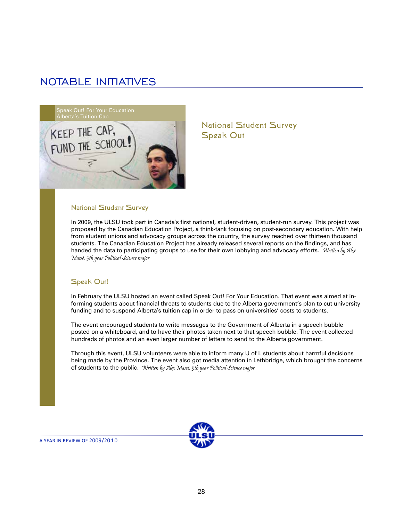

### National Student Survey Speak Out

#### National Student Survey

In 2009, the ULSU took part in Canada's first national, student-driven, student-run survey. This project was proposed by the Canadian Education Project, a think-tank focusing on post-secondary education. With help from student unions and advocacy groups across the country, the survey reached over thirteen thousand students. The Canadian Education Project has already released several reports on the findings, and has handed the data to participating groups to use for their own lobbying and advocacy efforts. Written by Alex Massé, 5th year Political Science major

#### Speak Out!

In February the ULSU hosted an event called Speak Out! For Your Education. That event was aimed at informing students about financial threats to students due to the Alberta government's plan to cut university funding and to suspend Alberta's tuition cap in order to pass on universities' costs to students.

The event encouraged students to write messages to the Government of Alberta in a speech bubble posted on a whiteboard, and to have their photos taken next to that speech bubble. The event collected hundreds of photos and an even larger number of letters to send to the Alberta government.

Through this event, ULSU volunteers were able to inform many U of L students about harmful decisions being made by the Province. The event also got media attention in Lethbridge, which brought the concerns of students to the public. Written by Alex Massé, 5th year Political Science major



28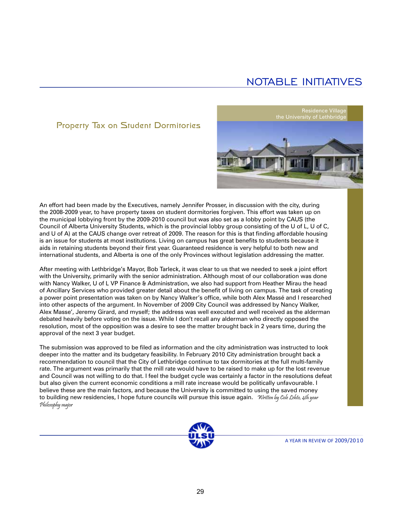the University of Lethbridge

Residence Village

### Property Tax on Student Dormitories

An effort had been made by the Executives, namely Jennifer Prosser, in discussion with the city, during the 2008-2009 year, to have property taxes on student dormitories forgiven. This effort was taken up on the municipal lobbying front by the 2009-2010 council but was also set as a lobby point by CAUS (the Council of Alberta University Students, which is the provincial lobby group consisting of the U of L, U of C, and U of A) at the CAUS change over retreat of 2009. The reason for this is that finding affordable housing is an issue for students at most institutions. Living on campus has great benefits to students because it aids in retaining students beyond their first year. Guaranteed residence is very helpful to both new and international students, and Alberta is one of the only Provinces without legislation addressing the matter.

After meeting with Lethbridge's Mayor, Bob Tarleck, it was clear to us that we needed to seek a joint effort with the University, primarily with the senior administration. Although most of our collaboration was done with Nancy Walker, U of L VP Finance & Administration, we also had support from Heather Mirau the head of Ancillary Services who provided greater detail about the benefit of living on campus. The task of creating a power point presentation was taken on by Nancy Walker's office, while both Alex Massé and I researched into other aspects of the argument. In November of 2009 City Council was addressed by Nancy Walker, Alex Masse', Jeremy Girard, and myself; the address was well executed and well received as the alderman debated heavily before voting on the issue. While I don't recall any alderman who directly opposed the resolution, most of the opposition was a desire to see the matter brought back in 2 years time, during the approval of the next 3 year budget.

The submission was approved to be filed as information and the city administration was instructed to look deeper into the matter and its budgetary feasibility. In February 2010 City administration brought back a recommendation to council that the City of Lethbridge continue to tax dormitories at the full multi-family rate. The argument was primarily that the mill rate would have to be raised to make up for the lost revenue and Council was not willing to do that. I feel the budget cycle was certainly a factor in the resolutions defeat but also given the current economic conditions a mill rate increase would be politically unfavourable. I believe these are the main factors, and because the University is committed to using the saved money to building new residencies, I hope future councils will pursue this issue again. Written by Cole Lehto, 4th year Philosophy major

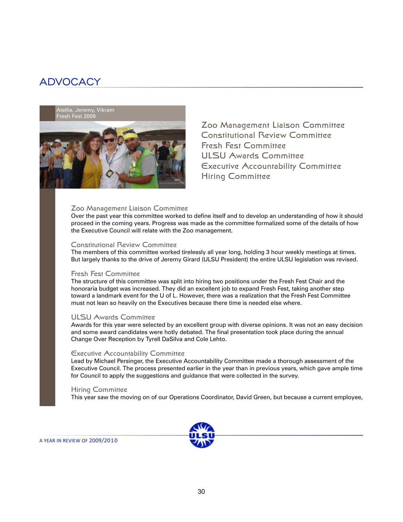

Zoo Management Liaison Committee Constitutional Review Committee Fresh Fest Committee ULSU Awards Committee Executive Accountability Committee Hiring Committee

#### Zoo Management Liaison Committee

Over the past year this committee worked to define itself and to develop an understanding of how it should proceed in the coming years. Progress was made as the committee formalized some of the details of how the Executive Council will relate with the Zoo management.

#### Constitutional Review Committee

The members of this committee worked tirelessly all year long, holding 3 hour weekly meetings at times. But largely thanks to the drive of Jeremy Girard (ULSU President) the entire ULSU legislation was revised.

#### Fresh Fest Committee

The structure of this committee was split into hiring two positions under the Fresh Fest Chair and the honoraria budget was increased. They did an excellent job to expand Fresh Fest, taking another step toward a landmark event for the U of L. However, there was a realization that the Fresh Fest Committee must not lean so heavily on the Executives because there time is needed else where.

#### ULSU Awards Committee

Awards for this year were selected by an excellent group with diverse opinions. It was not an easy decision and some award candidates were hotly debated. The final presentation took place during the annual Change Over Reception by Tyrell DaSilva and Cole Lehto.

#### Executive Accountability Committee

Lead by Michael Persinger, the Executive Accountability Committee made a thorough assessment of the Executive Council. The process presented earlier in the year than in previous years, which gave ample time for Council to apply the suggestions and guidance that were collected in the survey.

#### Hiring Committee

This year saw the moving on of our Operations Coordinator, David Green, but because a current employee,

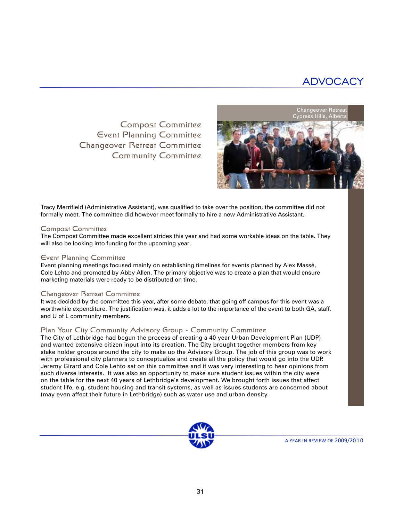Compost Committee Event Planning Committee Changeover Retreat Committee Community Committee



Tracy Merrifield (Administrative Assistant), was qualified to take over the position, the committee did not formally meet. The committee did however meet formally to hire a new Administrative Assistant.

#### Compost Committee

The Compost Committee made excellent strides this year and had some workable ideas on the table. They will also be looking into funding for the upcoming year.

#### Event Planning Committee

Event planning meetings focused mainly on establishing timelines for events planned by Alex Massé, Cole Lehto and promoted by Abby Allen. The primary objective was to create a plan that would ensure marketing materials were ready to be distributed on time.

#### Changeover Retreat Committee

It was decided by the committee this year, after some debate, that going off campus for this event was a worthwhile expenditure. The justification was, it adds a lot to the importance of the event to both GA, staff, and U of L community members.

#### Plan Your City Community Advisory Group - Community Committee

The City of Lethbridge had begun the process of creating a 40 year Urban Development Plan (UDP) and wanted extensive citizen input into its creation. The City brought together members from key stake holder groups around the city to make up the Advisory Group. The job of this group was to work with professional city planners to conceptualize and create all the policy that would go into the UDP. Jeremy Girard and Cole Lehto sat on this committee and it was very interesting to hear opinions from such diverse interests. It was also an opportunity to make sure student issues within the city were on the table for the next 40 years of Lethbridge's development. We brought forth issues that affect student life, e.g. student housing and transit systems, as well as issues students are concerned about (may even affect their future in Lethbridge) such as water use and urban density.

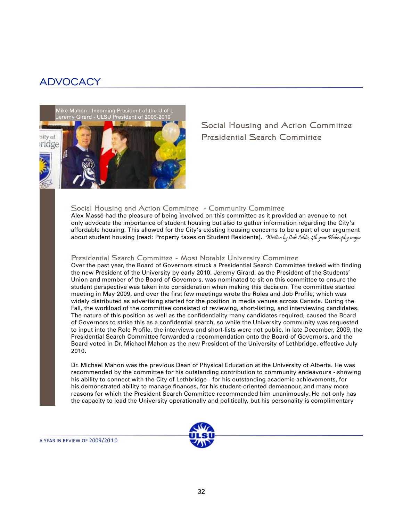

Social Housing and Action Committee Presidential Search Committee

#### Social Housing and Action Committee - Community Committee

Alex Massé had the pleasure of being involved on this committee as it provided an avenue to not only advocate the importance of student housing but also to gather information regarding the City's affordable housing. This allowed for the City's existing housing concerns to be a part of our argument about student housing (read: Property taxes on Student Residents). Written by Cole Lehto, 4th year Philosophy major

#### Presidential Search Committee - Most Notable University Committee

Over the past year, the Board of Governors struck a Presidential Search Committee tasked with finding the new President of the University by early 2010. Jeremy Girard, as the President of the Students' Union and member of the Board of Governors, was nominated to sit on this committee to ensure the student perspective was taken into consideration when making this decision. The committee started meeting in May 2009, and over the first few meetings wrote the Roles and Job Profile, which was widely distributed as advertising started for the position in media venues across Canada. During the Fall, the workload of the committee consisted of reviewing, short-listing, and interviewing candidates. The nature of this position as well as the confidentiality many candidates required, caused the Board of Governors to strike this as a confidential search, so while the University community was requested to input into the Role Profile, the interviews and short-lists were not public. In late December, 2009, the Presidential Search Committee forwarded a recommendation onto the Board of Governors, and the Board voted in Dr. Michael Mahon as the new President of the University of Lethbridge, effective July 2010.

Dr. Michael Mahon was the previous Dean of Physical Education at the University of Alberta. He was recommended by the committee for his outstanding contribution to community endeavours - showing his ability to connect with the City of Lethbridge - for his outstanding academic achievements, for his demonstrated ability to manage finances, for his student-oriented demeanour, and many more reasons for which the President Search Committee recommended him unanimously. He not only has the capacity to lead the University operationally and politically, but his personality is complimentary

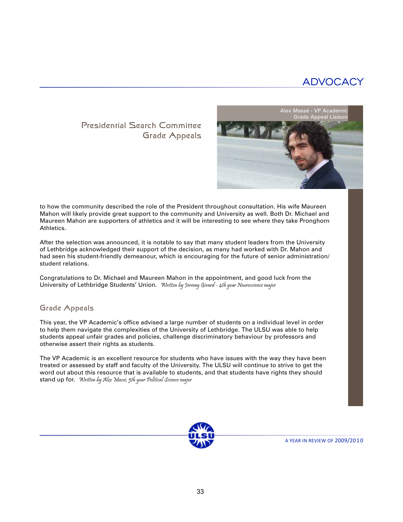### Presidential Search Committee Grade Appeals



to how the community described the role of the President throughout consultation. His wife Maureen Mahon will likely provide great support to the community and University as well. Both Dr. Michael and Maureen Mahon are supporters of athletics and it will be interesting to see where they take Pronghorn Athletics.

After the selection was announced, it is notable to say that many student leaders from the University of Lethbridge acknowledged their support of the decision, as many had worked with Dr. Mahon and had seen his student-friendly demeanour, which is encouraging for the future of senior administration/ student relations.

Congratulations to Dr. Michael and Maureen Mahon in the appointment, and good luck from the University of Lethbridge Students' Union. Written by Jeremy Girard - 4th year Neuroscience major

### Grade Appeals

This year, the VP Academic's office advised a large number of students on a individual level in order to help them navigate the complexities of the University of Lethbridge. The ULSU was able to help students appeal unfair grades and policies, challenge discriminatory behaviour by professors and otherwise assert their rights as students.

The VP Academic is an excellent resource for students who have issues with the way they have been treated or assessed by staff and faculty of the University. The ULSU will continue to strive to get the word out about this resource that is available to students, and that students have rights they should stand up for. Written by Alex Massé, 5th year Political Science major

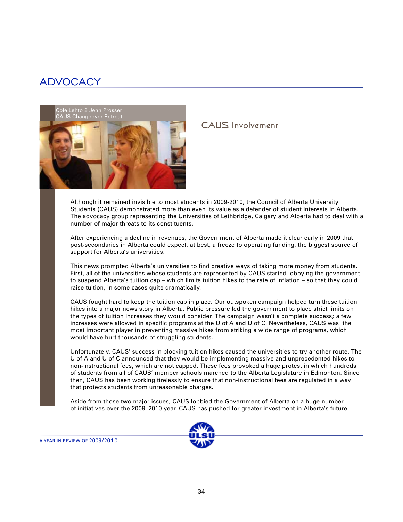

### CAUS Involvement

Although it remained invisible to most students in 2009-2010, the Council of Alberta University Students (CAUS) demonstrated more than even its value as a defender of student interests in Alberta. The advocacy group representing the Universities of Lethbridge, Calgary and Alberta had to deal with a number of major threats to its constituents.

After experiencing a decline in revenues, the Government of Alberta made it clear early in 2009 that post-secondaries in Alberta could expect, at best, a freeze to operating funding, the biggest source of support for Alberta's universities.

This news prompted Alberta's universities to find creative ways of taking more money from students. First, all of the universities whose students are represented by CAUS started lobbying the government to suspend Alberta's tuition cap – which limits tuition hikes to the rate of inflation – so that they could raise tuition, in some cases quite dramatically.

CAUS fought hard to keep the tuition cap in place. Our outspoken campaign helped turn these tuition hikes into a major news story in Alberta. Public pressure led the government to place strict limits on the types of tuition increases they would consider. The campaign wasn't a complete success; a few increases were allowed in specific programs at the U of A and U of C. Nevertheless, CAUS was the most important player in preventing massive hikes from striking a wide range of programs, which would have hurt thousands of struggling students.

Unfortunately, CAUS' success in blocking tuition hikes caused the universities to try another route. The U of A and U of C announced that they would be implementing massive and unprecedented hikes to non-instructional fees, which are not capped. These fees provoked a huge protest in which hundreds of students from all of CAUS' member schools marched to the Alberta Legislature in Edmonton. Since then, CAUS has been working tirelessly to ensure that non-instructional fees are regulated in a way that protects students from unreasonable charges.

Aside from those two major issues, CAUS lobbied the Government of Alberta on a huge number of initiatives over the 2009–2010 year. CAUS has pushed for greater investment in Alberta's future

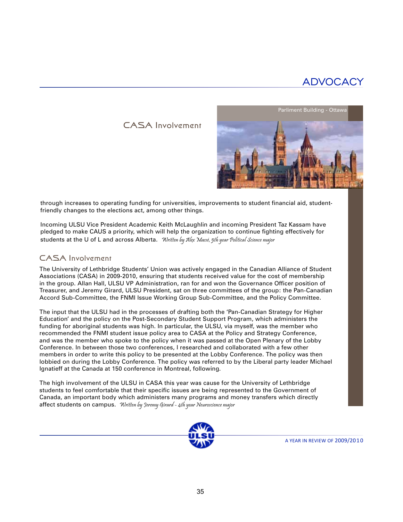### CASA Involvement



through increases to operating funding for universities, improvements to student financial aid, studentfriendly changes to the elections act, among other things.

Incoming ULSU Vice President Academic Keith McLaughlin and incoming President Taz Kassam have pledged to make CAUS a priority, which will help the organization to continue fighting effectively for students at the U of L and across Alberta. Written by Alex Massé, 5th year Political Science major

### CASA Involvement

The University of Lethbridge Students' Union was actively engaged in the Canadian Alliance of Student Associations (CASA) in 2009-2010, ensuring that students received value for the cost of membership in the group. Allan Hall, ULSU VP Administration, ran for and won the Governance Officer position of Treasurer, and Jeremy Girard, ULSU President, sat on three committees of the group: the Pan-Canadian Accord Sub-Committee, the FNMI Issue Working Group Sub-Committee, and the Policy Committee.

The input that the ULSU had in the processes of drafting both the 'Pan-Canadian Strategy for Higher Education' and the policy on the Post-Secondary Student Support Program, which administers the funding for aboriginal students was high. In particular, the ULSU, via myself, was the member who recommended the FNMI student issue policy area to CASA at the Policy and Strategy Conference, and was the member who spoke to the policy when it was passed at the Open Plenary of the Lobby Conference. In between those two conferences, I researched and collaborated with a few other members in order to write this policy to be presented at the Lobby Conference. The policy was then lobbied on during the Lobby Conference. The policy was referred to by the Liberal party leader Michael Ignatieff at the Canada at 150 conference in Montreal, following.

The high involvement of the ULSU in CASA this year was cause for the University of Lethbridge students to feel comfortable that their specific issues are being represented to the Government of Canada, an important body which administers many programs and money transfers which directly affect students on campus. Written by Jeremy Girard - 4th year Neuroscience major

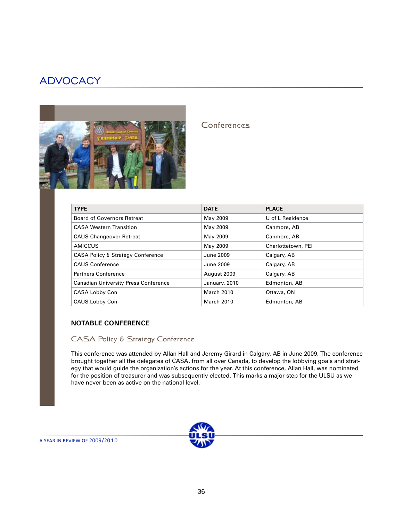

### Conferences

| <b>TYPE</b>                                  | <b>DATE</b>       | <b>PLACE</b>       |
|----------------------------------------------|-------------------|--------------------|
| <b>Board of Governors Retreat</b>            | May 2009          | U of L Residence   |
| <b>CASA Western Transition</b>               | May 2009          | Canmore, AB        |
| <b>CAUS Changeover Retreat</b>               | May 2009          | Canmore, AB        |
| AMICCUS                                      | May 2009          | Charlottetown, PEI |
| <b>CASA Policy &amp; Strategy Conference</b> | June 2009         | Calgary, AB        |
| <b>CAUS Conference</b>                       | June 2009         | Calgary, AB        |
| <b>Partners Conference</b>                   | August 2009       | Calgary, AB        |
| <b>Canadian University Press Conference</b>  | January, 2010     | Edmonton, AB       |
| CASA Lobby Con                               | March 2010        | Ottawa, ON         |
| CAUS Lobby Con                               | <b>March 2010</b> | Edmonton, AB       |

### **NOTABLE CONFERENCE**

### CASA Policy & Strategy Conference

This conference was attended by Allan Hall and Jeremy Girard in Calgary, AB in June 2009. The conference brought together all the delegates of CASA, from all over Canada, to develop the lobbying goals and strategy that would guide the organization's actions for the year. At this conference, Allan Hall, was nominated for the position of treasurer and was subsequently elected. This marks a major step for the ULSU as we have never been as active on the national level.

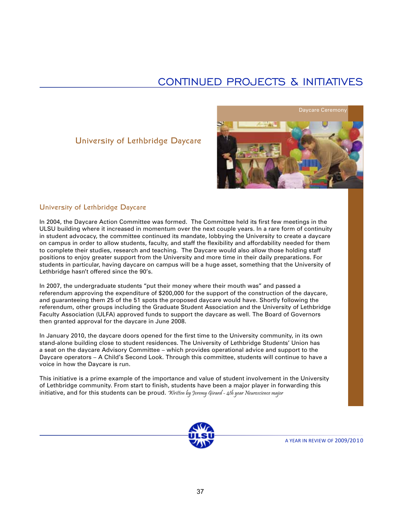## CONTINUED PROJECTS & INITIATIVES

### University of Lethbridge Daycare



#### University of Lethbridge Daycare

In 2004, the Daycare Action Committee was formed. The Committee held its first few meetings in the ULSU building where it increased in momentum over the next couple years. In a rare form of continuity in student advocacy, the committee continued its mandate, lobbying the University to create a daycare on campus in order to allow students, faculty, and staff the flexibility and affordability needed for them to complete their studies, research and teaching. The Daycare would also allow those holding staff positions to enjoy greater support from the University and more time in their daily preparations. For students in particular, having daycare on campus will be a huge asset, something that the University of Lethbridge hasn't offered since the 90's.

In 2007, the undergraduate students "put their money where their mouth was" and passed a referendum approving the expenditure of \$200,000 for the support of the construction of the daycare, and guaranteeing them 25 of the 51 spots the proposed daycare would have. Shortly following the referendum, other groups including the Graduate Student Association and the University of Lethbridge Faculty Association (ULFA) approved funds to support the daycare as well. The Board of Governors then granted approval for the daycare in June 2008.

In January 2010, the daycare doors opened for the first time to the University community, in its own stand-alone building close to student residences. The University of Lethbridge Students' Union has a seat on the daycare Advisory Committee – which provides operational advice and support to the Daycare operators – A Child's Second Look. Through this committee, students will continue to have a voice in how the Daycare is run.

This initiative is a prime example of the importance and value of student involvement in the University of Lethbridge community. From start to finish, students have been a major player in forwarding this initiative, and for this students can be proud. Written by Jeremy Girard - 4th year Neuroscience major

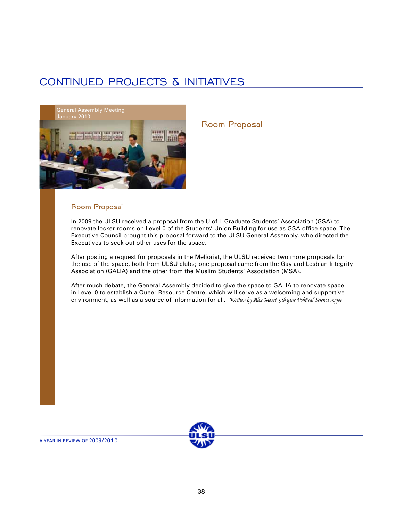## CONTINUED PROJECTS & INITIATIVES



### Room Proposal

#### Room Proposal

In 2009 the ULSU received a proposal from the U of L Graduate Students' Association (GSA) to renovate locker rooms on Level 0 of the Students' Union Building for use as GSA office space. The Executive Council brought this proposal forward to the ULSU General Assembly, who directed the Executives to seek out other uses for the space.

After posting a request for proposals in the Meliorist, the ULSU received two more proposals for the use of the space, both from ULSU clubs; one proposal came from the Gay and Lesbian Integrity Association (GALIA) and the other from the Muslim Students' Association (MSA).

After much debate, the General Assembly decided to give the space to GALIA to renovate space in Level 0 to establish a Queer Resource Centre, which will serve as a welcoming and supportive environment, as well as a source of information for all. Written by Alex Massé, 5th year Political Science major

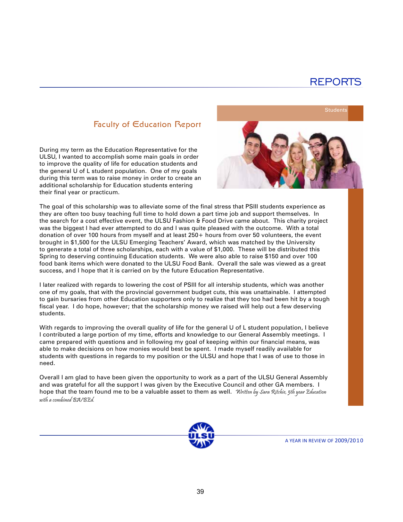### Faculty of Education Report

During my term as the Education Representative for the ULSU, I wanted to accomplish some main goals in order to improve the quality of life for education students and the general U of L student population. One of my goals during this term was to raise money in order to create an additional scholarship for Education students entering their final year or practicum.



The goal of this scholarship was to alleviate some of the final stress that PSIII students experience as they are often too busy teaching full time to hold down a part time job and support themselves. In the search for a cost effective event, the ULSU Fashion & Food Drive came about. This charity project was the biggest I had ever attempted to do and I was quite pleased with the outcome. With a total donation of over 100 hours from myself and at least 250+ hours from over 50 volunteers, the event brought in \$1,500 for the ULSU Emerging Teachers' Award, which was matched by the University to generate a total of three scholarships, each with a value of \$1,000. These will be distributed this Spring to deserving continuing Education students. We were also able to raise \$150 and over 100 food bank items which were donated to the ULSU Food Bank. Overall the sale was viewed as a great success, and I hope that it is carried on by the future Education Representative.

I later realized with regards to lowering the cost of PSIII for all intership students, which was another one of my goals, that with the provincial government budget cuts, this was unattainable. I attempted to gain bursaries from other Education supporters only to realize that they too had been hit by a tough fiscal year. I do hope, however; that the scholarship money we raised will help out a few deserving students.

With regards to improving the overall quality of life for the general U of L student population, I believe I contributed a large portion of my time, efforts and knowledge to our General Assembly meetings. I came prepared with questions and in following my goal of keeping within our financial means, was able to make decisions on how monies would best be spent. I made myself readily available for students with questions in regards to my position or the ULSU and hope that I was of use to those in need.

Overall I am glad to have been given the opportunity to work as a part of the ULSU General Assembly and was grateful for all the support I was given by the Executive Council and other GA members. I hope that the team found me to be a valuable asset to them as well. Written by Sara Ritchie, 5th year Education with a combined BA/BEd.

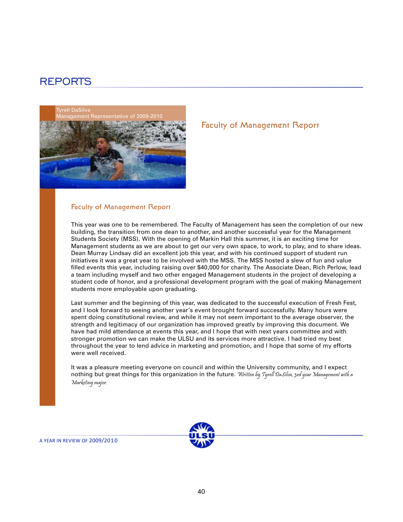

# Faculty of Management Report

#### Faculty of Management Report

This year was one to be remembered. The Faculty of Management has seen the completion of our new building, the transition from one dean to another, and another successful year for the Management Students Society (MSS). With the opening of Markin Hall this summer, it is an exciting time for Management students as we are about to get our very own space, to work, to play, and to share ideas. Dean Murray Lindsay did an excellent job this year, and with his continued support of student run initiatives it was a great year to be involved with the MSS. The MSS hosted a slew of fun and value filled events this year, including raising over \$40,000 for charity. The Associate Dean, Rich Perlow, lead a team including myself and two other engaged Management students in the project of developing a student code of honor, and a professional development program with the goal of making Management students more employable upon graduating.

Last summer and the beginning of this year, was dedicated to the successful execution of Fresh Fest, and I look forward to seeing another year's event brought forward successfully. Many hours were spent doing constitutional review, and while it may not seem important to the average observer, the strength and legitimacy of our organization has improved greatly by improving this document. We have had mild attendance at events this year, and I hope that with next years committee and with stronger promotion we can make the ULSU and its services more attractive. I had tried my best throughout the year to lend advice in marketing and promotion, and I hope that some of my efforts were well received.

It was a pleasure meeting everyone on council and within the University community, and I expect nothing but great things for this organization in the future. Written by Tyrell DaSilva, 3rd year Management with a Marketing major.

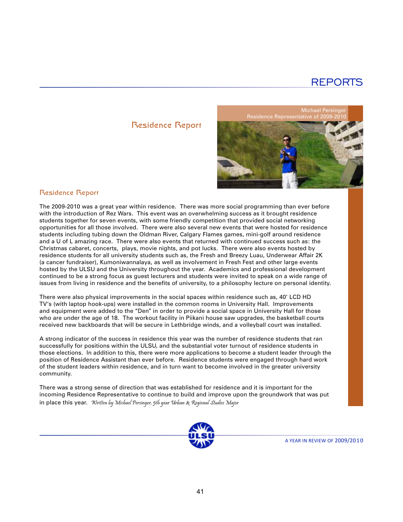### Residence Report

**Michael Persing** Residence Representative of 2009-2



#### Residence Report

The 2009-2010 was a great year within residence. There was more social programming than ever before with the introduction of Rez Wars. This event was an overwhelming success as it brought residence students together for seven events, with some friendly competition that provided social networking opportunities for all those involved. There were also several new events that were hosted for residence students including tubing down the Oldman River, Calgary Flames games, mini-golf around residence and a U of L amazing race. There were also events that returned with continued success such as: the Christmas cabaret, concerts, plays, movie nights, and pot lucks. There were also events hosted by residence students for all university students such as, the Fresh and Breezy Luau, Underwear Affair 2K (a cancer fundraiser), Kumoniwannalaya, as well as involvement in Fresh Fest and other large events hosted by the ULSU and the University throughout the year. Academics and professional development continued to be a strong focus as guest lecturers and students were invited to speak on a wide range of issues from living in residence and the benefits of university, to a philosophy lecture on personal identity.

There were also physical improvements in the social spaces within residence such as, 40' LCD HD TV's (with laptop hook-ups) were installed in the common rooms in University Hall. Improvements and equipment were added to the "Den" in order to provide a social space in University Hall for those who are under the age of 18. The workout facility in Piikani house saw upgrades, the basketball courts received new backboards that will be secure in Lethbridge winds, and a volleyball court was installed.

A strong indicator of the success in residence this year was the number of residence students that ran successfully for positions within the ULSU, and the substantial voter turnout of residence students in those elections. In addition to this, there were more applications to become a student leader through the position of Residence Assistant than ever before. Residence students were engaged through hard work of the student leaders within residence, and in turn want to become involved in the greater university community.

There was a strong sense of direction that was established for residence and it is important for the incoming Residence Representative to continue to build and improve upon the groundwork that was put in place this year. Written by Michael Persinger, 5th year Urban & Regional Studies Major

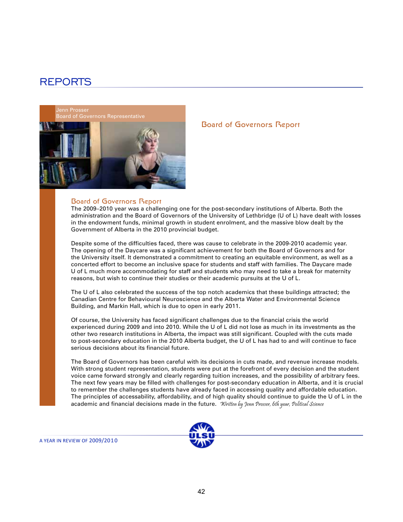enn Prosser



#### Board of Governors Report

The 2009–2010 year was a challenging one for the post-secondary institutions of Alberta. Both the administration and the Board of Governors of the University of Lethbridge (U of L) have dealt with losses in the endowment funds, minimal growth in student enrolment, and the massive blow dealt by the Government of Alberta in the 2010 provincial budget.

Despite some of the difficulties faced, there was cause to celebrate in the 2009-2010 academic year. The opening of the Daycare was a significant achievement for both the Board of Governors and for the University itself. It demonstrated a commitment to creating an equitable environment, as well as a concerted effort to become an inclusive space for students and staff with families. The Daycare made U of L much more accommodating for staff and students who may need to take a break for maternity reasons, but wish to continue their studies or their academic pursuits at the U of L.

The U of L also celebrated the success of the top notch academics that these buildings attracted; the Canadian Centre for Behavioural Neuroscience and the Alberta Water and Environmental Science Building, and Markin Hall, which is due to open in early 2011.

Of course, the University has faced significant challenges due to the financial crisis the world experienced during 2009 and into 2010. While the U of L did not lose as much in its investments as the other two research institutions in Alberta, the impact was still significant. Coupled with the cuts made to post-secondary education in the 2010 Alberta budget, the U of L has had to and will continue to face serious decisions about its financial future.

The Board of Governors has been careful with its decisions in cuts made, and revenue increase models. With strong student representation, students were put at the forefront of every decision and the student voice came forward strongly and clearly regarding tuition increases, and the possibility of arbitrary fees. The next few years may be filled with challenges for post-secondary education in Alberta, and it is crucial to remember the challenges students have already faced in accessing quality and affordable education. The principles of accessability, affordability, and of high quality should continue to guide the U of L in the academic and financial decisions made in the future. Written by Jenn Prosser, 6th year, Political Science



A YEAR IN REVIEW OF 2009/201 0

Board of Governors Report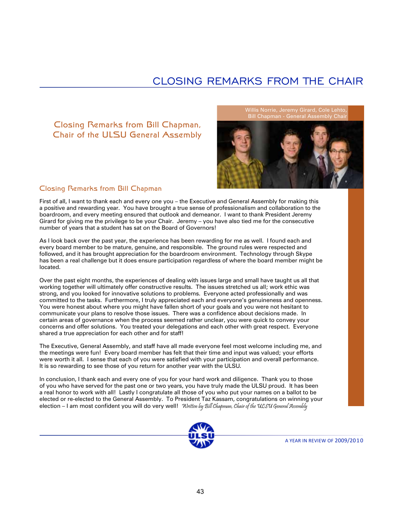## CLOSING REMARKS FROM THE CHAIR

### Closing Remarks from Bill Chapman, Chair of the ULSU General Assembly

Bill Chapman - General Assembly Chair



### Closing Remarks from Bill Chapman

First of all, I want to thank each and every one you – the Executive and General Assembly for making this a positive and rewarding year. You have brought a true sense of professionalism and collaboration to the boardroom, and every meeting ensured that outlook and demeanor. I want to thank President Jeremy Girard for giving me the privilege to be your Chair. Jeremy – you have also tied me for the consecutive number of years that a student has sat on the Board of Governors!

As I look back over the past year, the experience has been rewarding for me as well. I found each and every board member to be mature, genuine, and responsible. The ground rules were respected and followed, and it has brought appreciation for the boardroom environment. Technology through Skype has been a real challenge but it does ensure participation regardless of where the board member might be located.

Over the past eight months, the experiences of dealing with issues large and small have taught us all that working together will ultimately offer constructive results. The issues stretched us all; work ethic was strong, and you looked for innovative solutions to problems. Everyone acted professionally and was committed to the tasks. Furthermore, I truly appreciated each and everyone's genuineness and openness. You were honest about where you might have fallen short of your goals and you were not hesitant to communicate your plans to resolve those issues. There was a confidence about decisions made. In certain areas of governance when the process seemed rather unclear, you were quick to convey your concerns and offer solutions. You treated your delegations and each other with great respect. Everyone shared a true appreciation for each other and for staff!

The Executive, General Assembly, and staff have all made everyone feel most welcome including me, and the meetings were fun! Every board member has felt that their time and input was valued; your efforts were worth it all. I sense that each of you were satisfied with your participation and overall performance. It is so rewarding to see those of you return for another year with the ULSU.

In conclusion, I thank each and every one of you for your hard work and diligence. Thank you to those of you who have served for the past one or two years, you have truly made the ULSU proud. It has been a real honor to work with all! Lastly I congratulate all those of you who put your names on a ballot to be elected or re-elected to the General Assembly. To President Taz Kassam, congratulations on winning your election – I am most confident you will do very well! Written by Bill Chapman, Chair of the ULSU General Assembly

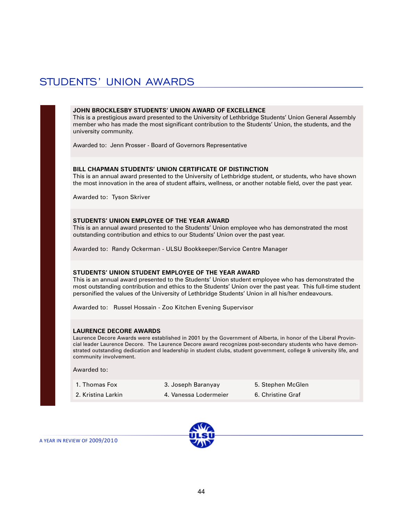## STUDENTS' UNION AWARDS

#### **JOHN BROCKLESBY STUDENTS' UNION AWARD OF EXCELLENCE**

This is a prestigious award presented to the University of Lethbridge Students' Union General Assembly member who has made the most significant contribution to the Students' Union, the students, and the university community.

Awarded to: Jenn Prosser - Board of Governors Representative

#### **BILL CHAPMAN STUDENTS' UNION CERTIFICATE OF DISTINCTION**

This is an annual award presented to the University of Lethbridge student, or students, who have shown the most innovation in the area of student affairs, wellness, or another notable field, over the past year.

Awarded to: Tyson Skriver

#### **STUDENTS' UNION EMPLOYEE OF THE YEAR AWARD**

This is an annual award presented to the Students' Union employee who has demonstrated the most outstanding contribution and ethics to our Students' Union over the past year.

Awarded to: Randy Ockerman - ULSU Bookkeeper/Service Centre Manager

#### **STUDENTS' UNION STUDENT EMPLOYEE OF THE YEAR AWARD**

This is an annual award presented to the Students' Union student employee who has demonstrated the most outstanding contribution and ethics to the Students' Union over the past year. This full-time student personified the values of the University of Lethbridge Students' Union in all his/her endeavours.

Awarded to: Russel Hossain - Zoo Kitchen Evening Supervisor

#### **LAURENCE DECORE AWARDS**

Laurence Decore Awards were established in 2001 by the Government of Alberta, in honor of the Liberal Provincial leader Laurence Decore. The Laurence Decore award recognizes post-secondary students who have demonstrated outstanding dedication and leadership in student clubs, student government, college & university life, and community involvement.

Awarded to:

| 1. Thomas Fox      | 3. Joseph Baranyay    | 5. Stephen McGlen |
|--------------------|-----------------------|-------------------|
| 2. Kristina Larkin | 4. Vanessa Lodermeier | 6. Christine Graf |

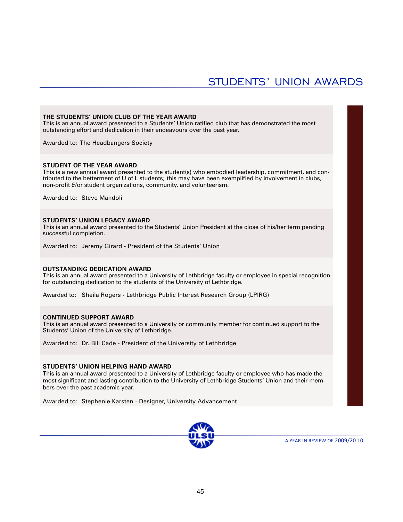### STUDENTS' UNION AWARDS

#### **THE STUDENTS' UNION CLUB OF THE YEAR AWARD**

This is an annual award presented to a Students' Union ratified club that has demonstrated the most outstanding effort and dedication in their endeavours over the past year.

Awarded to: The Headbangers Society

#### **STUDENT OF THE YEAR AWARD**

This is a new annual award presented to the student(s) who embodied leadership, commitment, and contributed to the betterment of U of L students; this may have been exemplified by involvement in clubs, non-profit &/or student organizations, community, and volunteerism.

Awarded to: Steve Mandoli

#### **STUDENTS' UNION LEGACY AWARD**

This is an annual award presented to the Students' Union President at the close of his/her term pending successful completion.

Awarded to: Jeremy Girard - President of the Students' Union

#### **OUTSTANDING DEDICATION AWARD**

This is an annual award presented to a University of Lethbridge faculty or employee in special recognition for outstanding dedication to the students of the University of Lethbridge.

Awarded to: Sheila Rogers - Lethbridge Public Interest Research Group (LPIRG)

#### **CONTINUED SUPPORT AWARD**

This is an annual award presented to a University or community member for continued support to the Students' Union of the University of Lethbridge.

Awarded to: Dr. Bill Cade - President of the University of Lethbridge

#### **STUDENTS' UNION HELPING HAND AWARD**

This is an annual award presented to a University of Lethbridge faculty or employee who has made the most significant and lasting contribution to the University of Lethbridge Students' Union and their members over the past academic year.

Awarded to: Stephenie Karsten - Designer, University Advancement

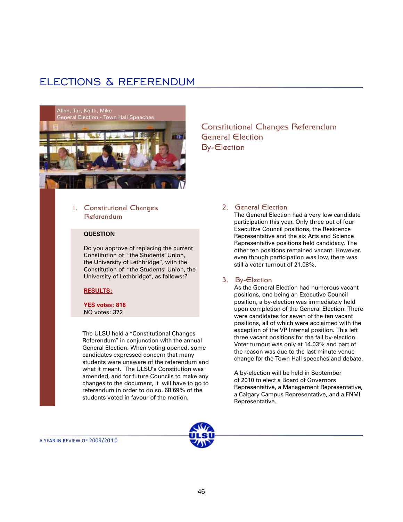## ELECTIONS & REFERENDUM



### 1. Constitutional Changes Referendum

#### **QUESTION**

Do you approve of replacing the current Constitution of "the Students' Union, the University of Lethbridge", with the Constitution of "the Students' Union, the University of Lethbridge", as follows:?

#### **RESULTS:**

**YES votes: 816** NO votes: 372

The ULSU held a "Constitutional Changes Referendum" in conjunction with the annual General Election. When voting opened, some candidates expressed concern that many students were unaware of the referendum and what it meant. The ULSU's Constitution was amended, and for future Councils to make any changes to the document, it will have to go to referendum in order to do so. 68.69% of the students voted in favour of the motion.

Constitutional Changes Referendum General Election By-Election

#### 2. General Election

The General Election had a very low candidate participation this year. Only three out of four Executive Council positions, the Residence Representative and the six Arts and Science Representative positions held candidacy. The other ten positions remained vacant. However, even though participation was low, there was still a voter turnout of 21.08%.

#### 3. By-Election

As the General Election had numerous vacant positions, one being an Executive Council position, a by-election was immediately held upon completion of the General Election. There were candidates for seven of the ten vacant positions, all of which were acclaimed with the exception of the VP Internal position. This left three vacant positions for the fall by-election. Voter turnout was only at 14.03% and part of the reason was due to the last minute venue change for the Town Hall speeches and debate.

A by-election will be held in September of 2010 to elect a Board of Governors Representative, a Management Representative, a Calgary Campus Representative, and a FNMI Representative.

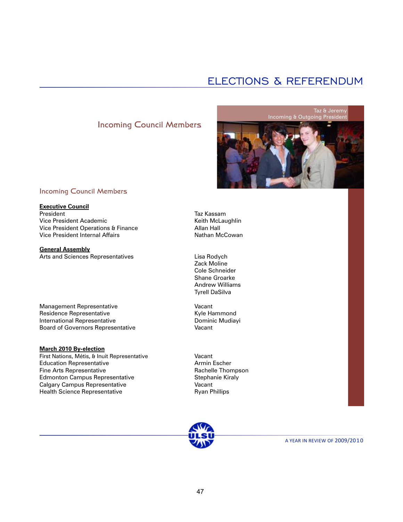## ELECTIONS & REFERENDUM

### Incoming Council Members



#### Incoming Council Members

### **Executive Council**

President Vice President Academic Vice President Operations & Finance Vice President Internal Affairs

**General Assembly** Arts and Sciences Representatives

Management Representative Residence Representative International Representative Board of Governors Representative

#### **March 2010 By-election**

First Nations, Métis, & Inuit Representative Education Representative Fine Arts Representative Edmonton Campus Representative Calgary Campus Representative Health Science Representative

Taz Kassam Keith McLaughlin Allan Hall Nathan McCowan

Lisa Rodych Zack Moline Cole Schneider Shane Groarke Andrew Williams Tyrell DaSilva

Vacant Kyle Hammond Dominic Mudiayi Vacant

Vacant Armin Escher Rachelle Thompson Stephanie Kiraly Vacant Ryan Phillips

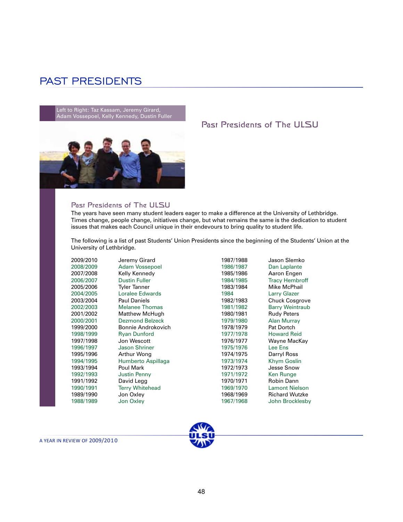### PAST PRESIDENTS

Left to Right: Taz Kassam, Jeremy Girard, Adam Vossepoel, Kelly Kennedy, Dustin Fuller



### Past Presidents of The ULSU

#### Past Presidents of The ULSU

The years have seen many student leaders eager to make a difference at the University of Lethbridge. Times change, people change, initiatives change, but what remains the same is the dedication to student issues that makes each Council unique in their endevours to bring quality to student life.

The following is a list of past Students' Union Presidents since the beginning of the Students' Union at the University of Lethbridge.

| 2009/2010 | Jeremy Girard          | 1987/1988 | Jason Slemko           |
|-----------|------------------------|-----------|------------------------|
| 2008/2009 | <b>Adam Vossepoel</b>  | 1986/1987 | Dan Laplante           |
| 2007/2008 | Kelly Kennedy          | 1985/1986 | Aaron Engen            |
| 2006/2007 | <b>Dustin Fuller</b>   | 1984/1985 | <b>Tracy Hembroff</b>  |
| 2005/2006 | Tyler Tanner           | 1983/1984 | Mike McPhail           |
| 2004/2005 | Loralee Edwards        | 1984      | Larry Glazer           |
| 2003/2004 | <b>Paul Daniels</b>    | 1982/1983 | <b>Chuck Cosgrove</b>  |
| 2002/2003 | <b>Melanee Thomas</b>  | 1981/1982 | <b>Barry Weintraub</b> |
| 2001/2002 | <b>Matthew McHugh</b>  | 1980/1981 | <b>Rudy Peters</b>     |
| 2000/2001 | <b>Dezmond Belzeck</b> | 1979/1980 | Alan Murray            |
| 1999/2000 | Bonnie Androkovich     | 1978/1979 | Pat Dortch             |
| 1998/1999 | <b>Ryan Dunford</b>    | 1977/1978 | <b>Howard Reid</b>     |
| 1997/1998 | Jon Wescott            | 1976/1977 | Wayne MacKay           |
| 1996/1997 | <b>Jason Shriner</b>   | 1975/1976 | Lee Ens                |
| 1995/1996 | Arthur Wong            | 1974/1975 | Darryl Ross            |
| 1994/1995 | Humberto Aspillaga     | 1973/1974 | <b>Khym Goslin</b>     |
| 1993/1994 | Poul Mark              | 1972/1973 | Jesse Snow             |
| 1992/1993 | <b>Justin Penny</b>    | 1971/1972 | Ken Runge              |
| 1991/1992 | David Legg             | 1970/1971 | Robin Dann             |
| 1990/1991 | <b>Terry Whitehead</b> | 1969/1970 | <b>Lamont Nielson</b>  |
| 1989/1990 | Jon Oxley              | 1968/1969 | <b>Richard Wutzke</b>  |
| 1988/1989 | Jon Oxley              | 1967/1968 | John Brocklesby        |

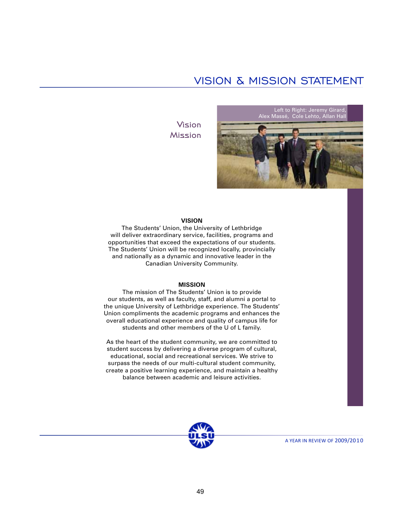## VISION & MISSION STATEMENT

Vision Mission



#### **VISION**

The Students' Union, the University of Lethbridge will deliver extraordinary service, facilities, programs and opportunities that exceed the expectations of our students. The Students' Union will be recognized locally, provincially and nationally as a dynamic and innovative leader in the Canadian University Community.

#### **MISSION**

The mission of The Students' Union is to provide our students, as well as faculty, staff, and alumni a portal to the unique University of Lethbridge experience. The Students' Union compliments the academic programs and enhances the overall educational experience and quality of campus life for students and other members of the U of L family.

As the heart of the student community, we are committed to student success by delivering a diverse program of cultural, educational, social and recreational services. We strive to surpass the needs of our multi-cultural student community, create a positive learning experience, and maintain a healthy balance between academic and leisure activities.